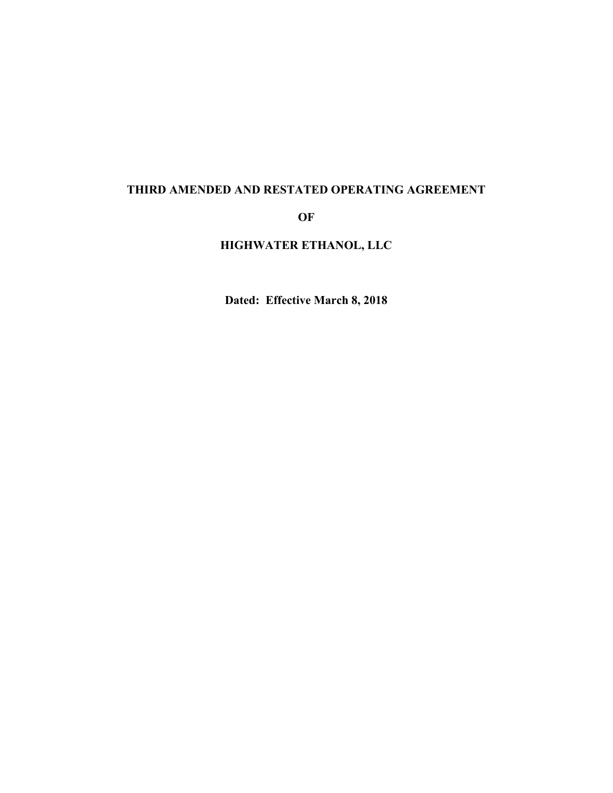# **THIRD AMENDED AND RESTATED OPERATING AGREEMENT**

**OF**

**HIGHWATER ETHANOL, LLC**

**Dated: Effective March 8, 2018**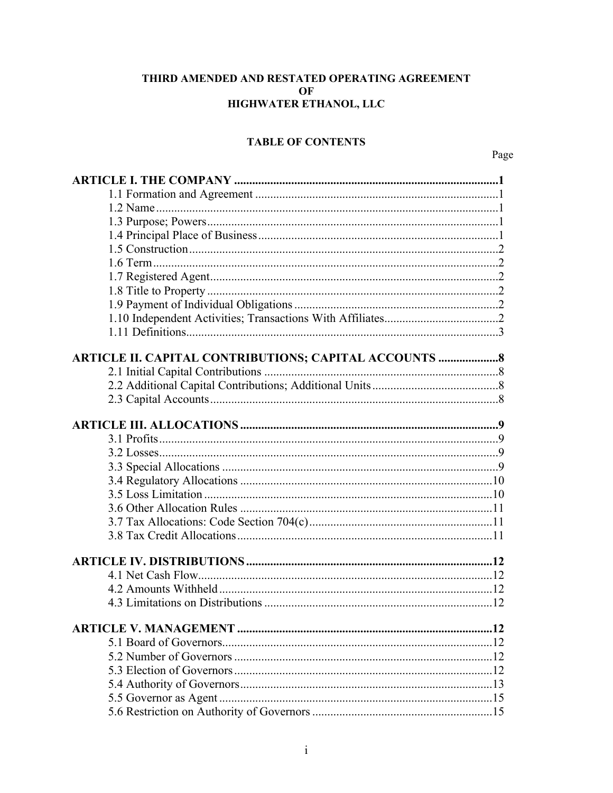### THIRD AMENDED AND RESTATED OPERATING AGREEMENT OF HIGHWATER ETHANOL, LLC

### **TABLE OF CONTENTS**

Page

| ARTICLE II. CAPITAL CONTRIBUTIONS; CAPITAL ACCOUNTS  8 |  |
|--------------------------------------------------------|--|
|                                                        |  |
|                                                        |  |
|                                                        |  |
|                                                        |  |
|                                                        |  |
|                                                        |  |
|                                                        |  |
|                                                        |  |
|                                                        |  |
|                                                        |  |
|                                                        |  |
|                                                        |  |
|                                                        |  |
|                                                        |  |
|                                                        |  |
|                                                        |  |
|                                                        |  |
|                                                        |  |
|                                                        |  |
|                                                        |  |
|                                                        |  |
|                                                        |  |
|                                                        |  |
|                                                        |  |
|                                                        |  |
|                                                        |  |
|                                                        |  |
|                                                        |  |
|                                                        |  |
|                                                        |  |
|                                                        |  |
|                                                        |  |
|                                                        |  |
|                                                        |  |
|                                                        |  |
|                                                        |  |
|                                                        |  |
|                                                        |  |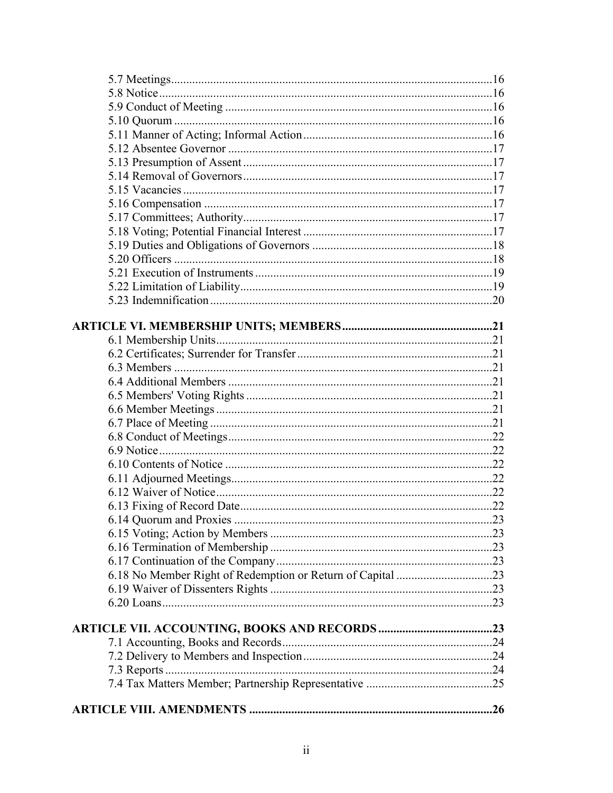| $\dots$ 23 |
|------------|
|            |
|            |
|            |
|            |
|            |
|            |
|            |
|            |
|            |
|            |
|            |
|            |
|            |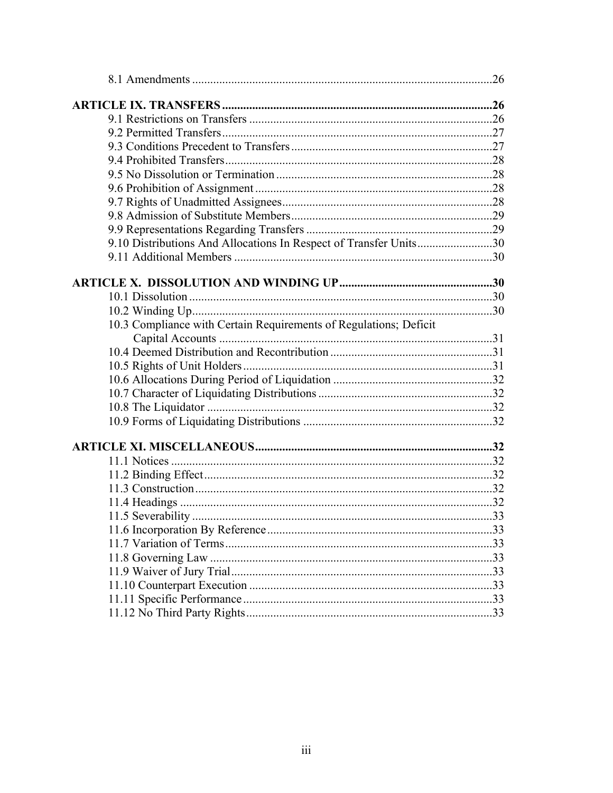| 9.10 Distributions And Allocations In Respect of Transfer Units30 |  |
|-------------------------------------------------------------------|--|
|                                                                   |  |
|                                                                   |  |
|                                                                   |  |
|                                                                   |  |
| 10.3 Compliance with Certain Requirements of Regulations; Deficit |  |
|                                                                   |  |
|                                                                   |  |
|                                                                   |  |
|                                                                   |  |
|                                                                   |  |
|                                                                   |  |
|                                                                   |  |
|                                                                   |  |
|                                                                   |  |
|                                                                   |  |
|                                                                   |  |
|                                                                   |  |
|                                                                   |  |
|                                                                   |  |
|                                                                   |  |
|                                                                   |  |
|                                                                   |  |
|                                                                   |  |
|                                                                   |  |
|                                                                   |  |
|                                                                   |  |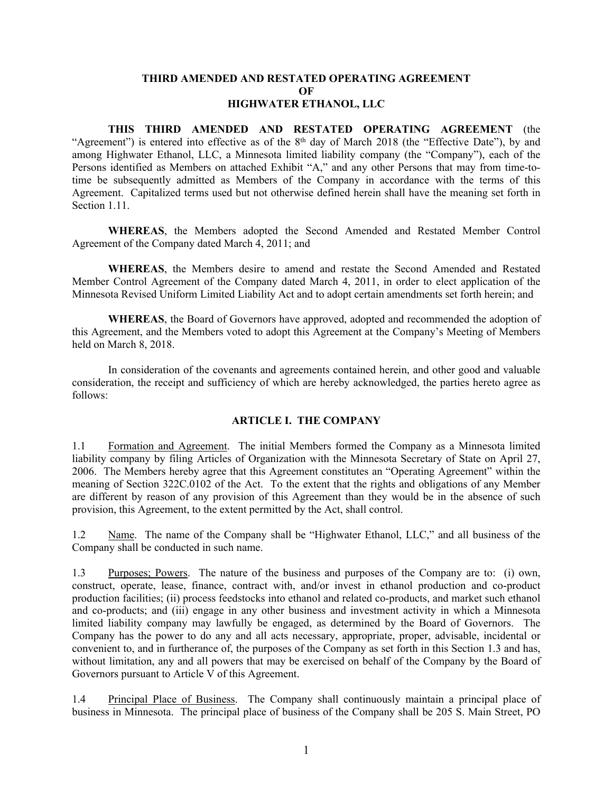### **THIRD AMENDED AND RESTATED OPERATING AGREEMENT OF HIGHWATER ETHANOL, LLC**

**THIS THIRD AMENDED AND RESTATED OPERATING AGREEMENT** (the "Agreement") is entered into effective as of the 8<sup>th</sup> day of March 2018 (the "Effective Date"), by and among Highwater Ethanol, LLC, a Minnesota limited liability company (the "Company"), each of the Persons identified as Members on attached Exhibit "A," and any other Persons that may from time-totime be subsequently admitted as Members of the Company in accordance with the terms of this Agreement. Capitalized terms used but not otherwise defined herein shall have the meaning set forth in Section 1.11.

**WHEREAS**, the Members adopted the Second Amended and Restated Member Control Agreement of the Company dated March 4, 2011; and

**WHEREAS**, the Members desire to amend and restate the Second Amended and Restated Member Control Agreement of the Company dated March 4, 2011, in order to elect application of the Minnesota Revised Uniform Limited Liability Act and to adopt certain amendments set forth herein; and

**WHEREAS**, the Board of Governors have approved, adopted and recommended the adoption of this Agreement, and the Members voted to adopt this Agreement at the Company's Meeting of Members held on March 8, 2018.

In consideration of the covenants and agreements contained herein, and other good and valuable consideration, the receipt and sufficiency of which are hereby acknowledged, the parties hereto agree as follows:

### <span id="page-4-1"></span><span id="page-4-0"></span>**ARTICLE I. THE COMPANY**

1.1 Formation and Agreement. The initial Members formed the Company as a Minnesota limited liability company by filing Articles of Organization with the Minnesota Secretary of State on April 27, 2006. The Members hereby agree that this Agreement constitutes an "Operating Agreement" within the meaning of Section 322C.0102 of the Act. To the extent that the rights and obligations of any Member are different by reason of any provision of this Agreement than they would be in the absence of such provision, this Agreement, to the extent permitted by the Act, shall control.

<span id="page-4-2"></span>1.2 Name. The name of the Company shall be "Highwater Ethanol, LLC," and all business of the Company shall be conducted in such name.

<span id="page-4-3"></span>1.3 Purposes; Powers. The nature of the business and purposes of the Company are to: (i) own, construct, operate, lease, finance, contract with, and/or invest in ethanol production and co-product production facilities; (ii) process feedstocks into ethanol and related co-products, and market such ethanol and co-products; and (iii) engage in any other business and investment activity in which a Minnesota limited liability company may lawfully be engaged, as determined by the Board of Governors. The Company has the power to do any and all acts necessary, appropriate, proper, advisable, incidental or convenient to, and in furtherance of, the purposes of the Company as set forth in this Section 1.3 and has, without limitation, any and all powers that may be exercised on behalf of the Company by the Board of Governors pursuant to Article V of this Agreement.

<span id="page-4-4"></span>1.4 Principal Place of Business. The Company shall continuously maintain a principal place of business in Minnesota. The principal place of business of the Company shall be 205 S. Main Street, PO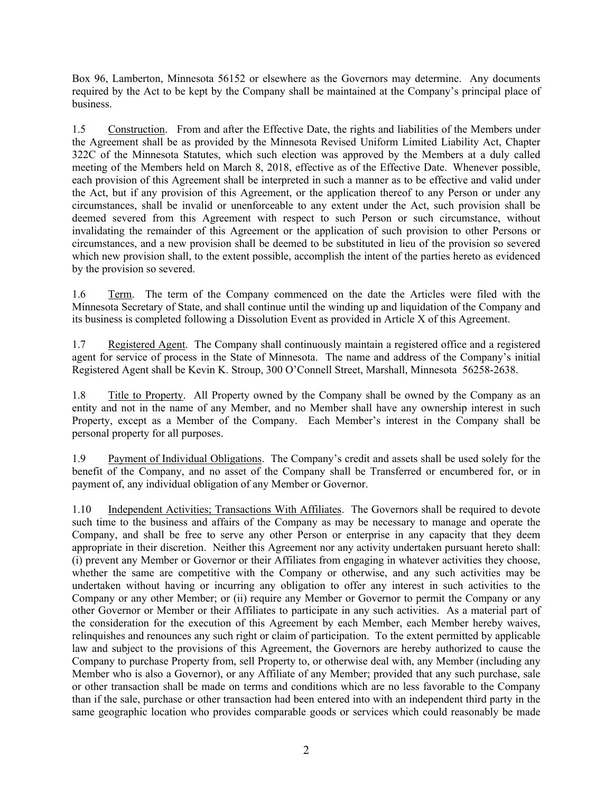Box 96, Lamberton, Minnesota 56152 or elsewhere as the Governors may determine. Any documents required by the Act to be kept by the Company shall be maintained at the Company's principal place of business.

<span id="page-5-0"></span>1.5 Construction. From and after the Effective Date, the rights and liabilities of the Members under the Agreement shall be as provided by the Minnesota Revised Uniform Limited Liability Act, Chapter 322C of the Minnesota Statutes, which such election was approved by the Members at a duly called meeting of the Members held on March 8, 2018, effective as of the Effective Date. Whenever possible, each provision of this Agreement shall be interpreted in such a manner as to be effective and valid under the Act, but if any provision of this Agreement, or the application thereof to any Person or under any circumstances, shall be invalid or unenforceable to any extent under the Act, such provision shall be deemed severed from this Agreement with respect to such Person or such circumstance, without invalidating the remainder of this Agreement or the application of such provision to other Persons or circumstances, and a new provision shall be deemed to be substituted in lieu of the provision so severed which new provision shall, to the extent possible, accomplish the intent of the parties hereto as evidenced by the provision so severed.

<span id="page-5-1"></span>1.6 Term. The term of the Company commenced on the date the Articles were filed with the Minnesota Secretary of State, and shall continue until the winding up and liquidation of the Company and its business is completed following a Dissolution Event as provided in Article X of this Agreement.

<span id="page-5-2"></span>1.7 Registered Agent. The Company shall continuously maintain a registered office and a registered agent for service of process in the State of Minnesota. The name and address of the Company's initial Registered Agent shall be Kevin K. Stroup, 300 O'Connell Street, Marshall, Minnesota 56258-2638.

<span id="page-5-3"></span>1.8 Title to Property. All Property owned by the Company shall be owned by the Company as an entity and not in the name of any Member, and no Member shall have any ownership interest in such Property, except as a Member of the Company. Each Member's interest in the Company shall be personal property for all purposes.

<span id="page-5-4"></span>1.9 Payment of Individual Obligations. The Company's credit and assets shall be used solely for the benefit of the Company, and no asset of the Company shall be Transferred or encumbered for, or in payment of, any individual obligation of any Member or Governor.

<span id="page-5-5"></span>1.10 Independent Activities; Transactions With Affiliates. The Governors shall be required to devote such time to the business and affairs of the Company as may be necessary to manage and operate the Company, and shall be free to serve any other Person or enterprise in any capacity that they deem appropriate in their discretion. Neither this Agreement nor any activity undertaken pursuant hereto shall: (i) prevent any Member or Governor or their Affiliates from engaging in whatever activities they choose, whether the same are competitive with the Company or otherwise, and any such activities may be undertaken without having or incurring any obligation to offer any interest in such activities to the Company or any other Member; or (ii) require any Member or Governor to permit the Company or any other Governor or Member or their Affiliates to participate in any such activities. As a material part of the consideration for the execution of this Agreement by each Member, each Member hereby waives, relinquishes and renounces any such right or claim of participation. To the extent permitted by applicable law and subject to the provisions of this Agreement, the Governors are hereby authorized to cause the Company to purchase Property from, sell Property to, or otherwise deal with, any Member (including any Member who is also a Governor), or any Affiliate of any Member; provided that any such purchase, sale or other transaction shall be made on terms and conditions which are no less favorable to the Company than if the sale, purchase or other transaction had been entered into with an independent third party in the same geographic location who provides comparable goods or services which could reasonably be made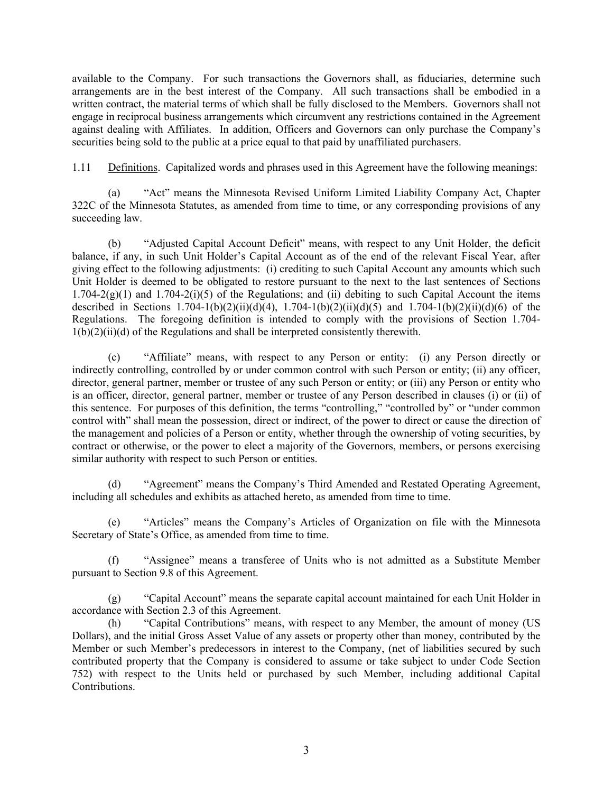available to the Company. For such transactions the Governors shall, as fiduciaries, determine such arrangements are in the best interest of the Company. All such transactions shall be embodied in a written contract, the material terms of which shall be fully disclosed to the Members. Governors shall not engage in reciprocal business arrangements which circumvent any restrictions contained in the Agreement against dealing with Affiliates. In addition, Officers and Governors can only purchase the Company's securities being sold to the public at a price equal to that paid by unaffiliated purchasers.

<span id="page-6-0"></span>1.11 Definitions. Capitalized words and phrases used in this Agreement have the following meanings:

(a) "Act" means the Minnesota Revised Uniform Limited Liability Company Act, Chapter 322C of the Minnesota Statutes, as amended from time to time, or any corresponding provisions of any succeeding law.

(b) "Adjusted Capital Account Deficit" means, with respect to any Unit Holder, the deficit balance, if any, in such Unit Holder's Capital Account as of the end of the relevant Fiscal Year, after giving effect to the following adjustments: (i) crediting to such Capital Account any amounts which such Unit Holder is deemed to be obligated to restore pursuant to the next to the last sentences of Sections  $1.704-2(g)(1)$  and  $1.704-2(i)(5)$  of the Regulations; and (ii) debiting to such Capital Account the items described in Sections  $1.704-1(b)(2)(ii)(d)(4)$ ,  $1.704-1(b)(2)(ii)(d)(5)$  and  $1.704-1(b)(2)(ii)(d)(6)$  of the Regulations. The foregoing definition is intended to comply with the provisions of Section 1.704-  $1(b)(2)(ii)(d)$  of the Regulations and shall be interpreted consistently therewith.

(c) "Affiliate" means, with respect to any Person or entity: (i) any Person directly or indirectly controlling, controlled by or under common control with such Person or entity; (ii) any officer, director, general partner, member or trustee of any such Person or entity; or (iii) any Person or entity who is an officer, director, general partner, member or trustee of any Person described in clauses (i) or (ii) of this sentence. For purposes of this definition, the terms "controlling," "controlled by" or "under common control with" shall mean the possession, direct or indirect, of the power to direct or cause the direction of the management and policies of a Person or entity, whether through the ownership of voting securities, by contract or otherwise, or the power to elect a majority of the Governors, members, or persons exercising similar authority with respect to such Person or entities.

"Agreement" means the Company's Third Amended and Restated Operating Agreement, including all schedules and exhibits as attached hereto, as amended from time to time.

(e) "Articles" means the Company's Articles of Organization on file with the Minnesota Secretary of State's Office, as amended from time to time.

(f) "Assignee" means a transferee of Units who is not admitted as a Substitute Member pursuant to Section 9.8 of this Agreement.

(g) "Capital Account" means the separate capital account maintained for each Unit Holder in accordance with Section 2.3 of this Agreement.

(h) "Capital Contributions" means, with respect to any Member, the amount of money (US Dollars), and the initial Gross Asset Value of any assets or property other than money, contributed by the Member or such Member's predecessors in interest to the Company, (net of liabilities secured by such contributed property that the Company is considered to assume or take subject to under Code Section 752) with respect to the Units held or purchased by such Member, including additional Capital Contributions.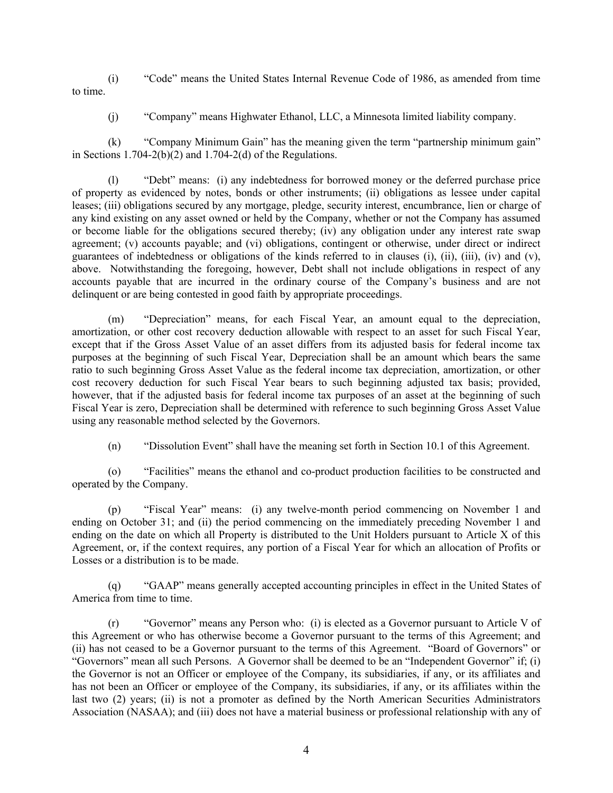(i) "Code" means the United States Internal Revenue Code of 1986, as amended from time to time.

(j) "Company" means Highwater Ethanol, LLC, a Minnesota limited liability company.

(k) "Company Minimum Gain" has the meaning given the term "partnership minimum gain" in Sections  $1.704-2(b)(2)$  and  $1.704-2(d)$  of the Regulations.

(l) "Debt" means: (i) any indebtedness for borrowed money or the deferred purchase price of property as evidenced by notes, bonds or other instruments; (ii) obligations as lessee under capital leases; (iii) obligations secured by any mortgage, pledge, security interest, encumbrance, lien or charge of any kind existing on any asset owned or held by the Company, whether or not the Company has assumed or become liable for the obligations secured thereby; (iv) any obligation under any interest rate swap agreement; (v) accounts payable; and (vi) obligations, contingent or otherwise, under direct or indirect guarantees of indebtedness or obligations of the kinds referred to in clauses (i), (ii), (iii), (iv) and (v), above. Notwithstanding the foregoing, however, Debt shall not include obligations in respect of any accounts payable that are incurred in the ordinary course of the Company's business and are not delinquent or are being contested in good faith by appropriate proceedings.

(m) "Depreciation" means, for each Fiscal Year, an amount equal to the depreciation, amortization, or other cost recovery deduction allowable with respect to an asset for such Fiscal Year, except that if the Gross Asset Value of an asset differs from its adjusted basis for federal income tax purposes at the beginning of such Fiscal Year, Depreciation shall be an amount which bears the same ratio to such beginning Gross Asset Value as the federal income tax depreciation, amortization, or other cost recovery deduction for such Fiscal Year bears to such beginning adjusted tax basis; provided, however, that if the adjusted basis for federal income tax purposes of an asset at the beginning of such Fiscal Year is zero, Depreciation shall be determined with reference to such beginning Gross Asset Value using any reasonable method selected by the Governors.

(n) "Dissolution Event" shall have the meaning set forth in Section 10.1 of this Agreement.

(o) "Facilities" means the ethanol and co-product production facilities to be constructed and operated by the Company.

(p) "Fiscal Year" means: (i) any twelve-month period commencing on November 1 and ending on October 31; and (ii) the period commencing on the immediately preceding November 1 and ending on the date on which all Property is distributed to the Unit Holders pursuant to Article X of this Agreement, or, if the context requires, any portion of a Fiscal Year for which an allocation of Profits or Losses or a distribution is to be made.

(q) "GAAP" means generally accepted accounting principles in effect in the United States of America from time to time.

(r) "Governor" means any Person who: (i) is elected as a Governor pursuant to Article V of this Agreement or who has otherwise become a Governor pursuant to the terms of this Agreement; and (ii) has not ceased to be a Governor pursuant to the terms of this Agreement. "Board of Governors" or "Governors" mean all such Persons. A Governor shall be deemed to be an "Independent Governor" if; (i) the Governor is not an Officer or employee of the Company, its subsidiaries, if any, or its affiliates and has not been an Officer or employee of the Company, its subsidiaries, if any, or its affiliates within the last two (2) years; (ii) is not a promoter as defined by the North American Securities Administrators Association (NASAA); and (iii) does not have a material business or professional relationship with any of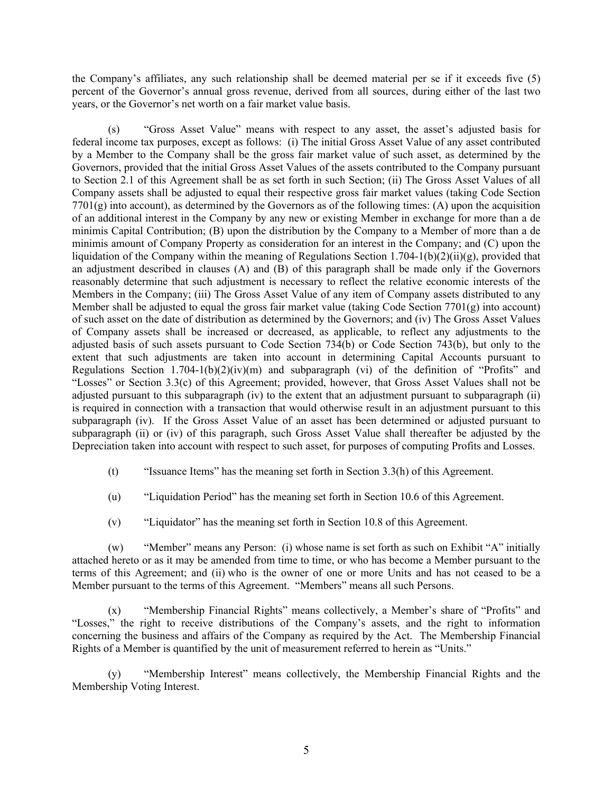the Company's affiliates, any such relationship shall be deemed material per se if it exceeds five (5) percent of the Governor's annual gross revenue, derived from all sources, during either of the last two years, or the Governor's net worth on a fair market value basis.

(s) "Gross Asset Value" means with respect to any asset, the asset's adjusted basis for federal income tax purposes, except as follows: (i) The initial Gross Asset Value of any asset contributed by a Member to the Company shall be the gross fair market value of such asset, as determined by the Governors, provided that the initial Gross Asset Values of the assets contributed to the Company pursuant to Section 2.1 of this Agreement shall be as set forth in such Section; (ii) The Gross Asset Values of all Company assets shall be adjusted to equal their respective gross fair market values (taking Code Section  $7701(g)$  into account), as determined by the Governors as of the following times: (A) upon the acquisition of an additional interest in the Company by any new or existing Member in exchange for more than a de minimis Capital Contribution; (B) upon the distribution by the Company to a Member of more than a de minimis amount of Company Property as consideration for an interest in the Company; and (C) upon the liquidation of the Company within the meaning of Regulations Section 1.704-1(b)(2)(ii)(g), provided that an adjustment described in clauses (A) and (B) of this paragraph shall be made only if the Governors reasonably determine that such adjustment is necessary to reflect the relative economic interests of the Members in the Company; (iii) The Gross Asset Value of any item of Company assets distributed to any Member shall be adjusted to equal the gross fair market value (taking Code Section  $7701(g)$  into account) of such asset on the date of distribution as determined by the Governors; and (iv) The Gross Asset Values of Company assets shall be increased or decreased, as applicable, to reflect any adjustments to the adjusted basis of such assets pursuant to Code Section 734(b) or Code Section 743(b), but only to the extent that such adjustments are taken into account in determining Capital Accounts pursuant to Regulations Section  $1.704-1(b)(2)(iv)(m)$  and subparagraph (vi) of the definition of "Profits" and "Losses" or Section 3.3(c) of this Agreement; provided, however, that Gross Asset Values shall not be adjusted pursuant to this subparagraph (iv) to the extent that an adjustment pursuant to subparagraph (ii) is required in connection with a transaction that would otherwise result in an adjustment pursuant to this subparagraph (iv). If the Gross Asset Value of an asset has been determined or adjusted pursuant to subparagraph (ii) or (iv) of this paragraph, such Gross Asset Value shall thereafter be adjusted by the Depreciation taken into account with respect to such asset, for purposes of computing Profits and Losses.

- (t) "Issuance Items" has the meaning set forth in Section 3.3(h) of this Agreement.
- (u) "Liquidation Period" has the meaning set forth in Section 10.6 of this Agreement.
- (v) "Liquidator" has the meaning set forth in Section 10.8 of this Agreement.

(w) "Member" means any Person: (i) whose name is set forth as such on Exhibit "A" initially attached hereto or as it may be amended from time to time, or who has become a Member pursuant to the terms of this Agreement; and (ii) who is the owner of one or more Units and has not ceased to be a Member pursuant to the terms of this Agreement. "Members" means all such Persons.

(x) "Membership Financial Rights" means collectively, a Member's share of "Profits" and "Losses," the right to receive distributions of the Company's assets, and the right to information concerning the business and affairs of the Company as required by the Act. The Membership Financial Rights of a Member is quantified by the unit of measurement referred to herein as "Units."

(y) "Membership Interest" means collectively, the Membership Financial Rights and the Membership Voting Interest.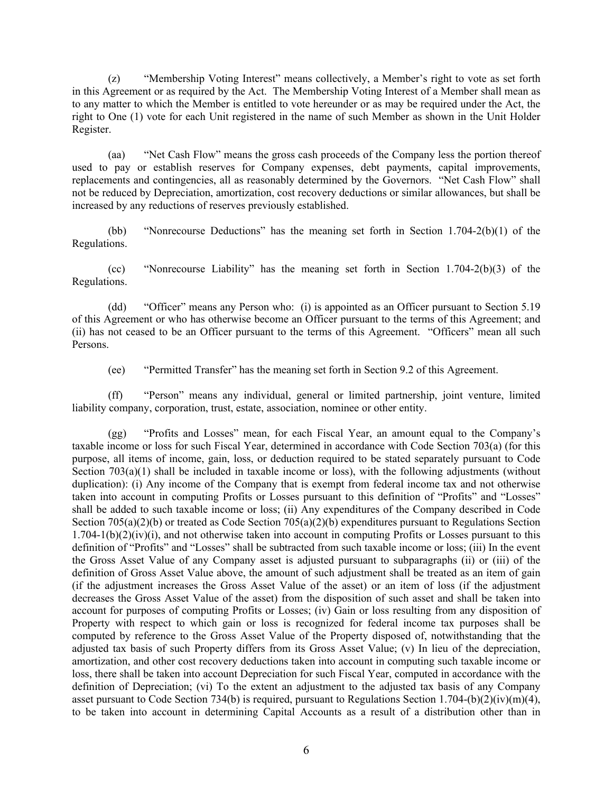(z) "Membership Voting Interest" means collectively, a Member's right to vote as set forth in this Agreement or as required by the Act. The Membership Voting Interest of a Member shall mean as to any matter to which the Member is entitled to vote hereunder or as may be required under the Act, the right to One (1) vote for each Unit registered in the name of such Member as shown in the Unit Holder Register.

(aa) "Net Cash Flow" means the gross cash proceeds of the Company less the portion thereof used to pay or establish reserves for Company expenses, debt payments, capital improvements, replacements and contingencies, all as reasonably determined by the Governors. "Net Cash Flow" shall not be reduced by Depreciation, amortization, cost recovery deductions or similar allowances, but shall be increased by any reductions of reserves previously established.

(bb) "Nonrecourse Deductions" has the meaning set forth in Section 1.704-2(b)(1) of the Regulations.

(cc) "Nonrecourse Liability" has the meaning set forth in Section 1.704-2(b)(3) of the Regulations.

(dd) "Officer" means any Person who: (i) is appointed as an Officer pursuant to Section 5.19 of this Agreement or who has otherwise become an Officer pursuant to the terms of this Agreement; and (ii) has not ceased to be an Officer pursuant to the terms of this Agreement. "Officers" mean all such Persons.

(ee) "Permitted Transfer" has the meaning set forth in Section 9.2 of this Agreement.

(ff) "Person" means any individual, general or limited partnership, joint venture, limited liability company, corporation, trust, estate, association, nominee or other entity.

(gg) "Profits and Losses" mean, for each Fiscal Year, an amount equal to the Company's taxable income or loss for such Fiscal Year, determined in accordance with Code Section 703(a) (for this purpose, all items of income, gain, loss, or deduction required to be stated separately pursuant to Code Section  $703(a)(1)$  shall be included in taxable income or loss), with the following adjustments (without duplication): (i) Any income of the Company that is exempt from federal income tax and not otherwise taken into account in computing Profits or Losses pursuant to this definition of "Profits" and "Losses" shall be added to such taxable income or loss; (ii) Any expenditures of the Company described in Code Section 705(a)(2)(b) or treated as Code Section 705(a)(2)(b) expenditures pursuant to Regulations Section  $1.704 - 1(b)(2)(iv)(i)$ , and not otherwise taken into account in computing Profits or Losses pursuant to this definition of "Profits" and "Losses" shall be subtracted from such taxable income or loss; (iii) In the event the Gross Asset Value of any Company asset is adjusted pursuant to subparagraphs (ii) or (iii) of the definition of Gross Asset Value above, the amount of such adjustment shall be treated as an item of gain (if the adjustment increases the Gross Asset Value of the asset) or an item of loss (if the adjustment decreases the Gross Asset Value of the asset) from the disposition of such asset and shall be taken into account for purposes of computing Profits or Losses; (iv) Gain or loss resulting from any disposition of Property with respect to which gain or loss is recognized for federal income tax purposes shall be computed by reference to the Gross Asset Value of the Property disposed of, notwithstanding that the adjusted tax basis of such Property differs from its Gross Asset Value; (v) In lieu of the depreciation, amortization, and other cost recovery deductions taken into account in computing such taxable income or loss, there shall be taken into account Depreciation for such Fiscal Year, computed in accordance with the definition of Depreciation; (vi) To the extent an adjustment to the adjusted tax basis of any Company asset pursuant to Code Section 734(b) is required, pursuant to Regulations Section 1.704-(b)(2)(iv)(m)(4), to be taken into account in determining Capital Accounts as a result of a distribution other than in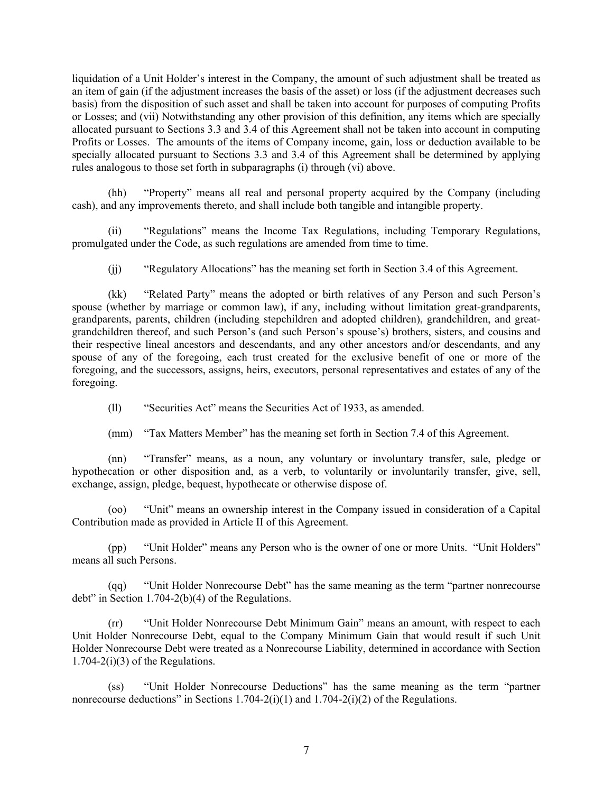liquidation of a Unit Holder's interest in the Company, the amount of such adjustment shall be treated as an item of gain (if the adjustment increases the basis of the asset) or loss (if the adjustment decreases such basis) from the disposition of such asset and shall be taken into account for purposes of computing Profits or Losses; and (vii) Notwithstanding any other provision of this definition, any items which are specially allocated pursuant to Sections 3.3 and 3.4 of this Agreement shall not be taken into account in computing Profits or Losses. The amounts of the items of Company income, gain, loss or deduction available to be specially allocated pursuant to Sections 3.3 and 3.4 of this Agreement shall be determined by applying rules analogous to those set forth in subparagraphs (i) through (vi) above.

(hh) "Property" means all real and personal property acquired by the Company (including cash), and any improvements thereto, and shall include both tangible and intangible property.

(ii) "Regulations" means the Income Tax Regulations, including Temporary Regulations, promulgated under the Code, as such regulations are amended from time to time.

(jj) "Regulatory Allocations" has the meaning set forth in Section 3.4 of this Agreement.

(kk) "Related Party" means the adopted or birth relatives of any Person and such Person's spouse (whether by marriage or common law), if any, including without limitation great-grandparents, grandparents, parents, children (including stepchildren and adopted children), grandchildren, and greatgrandchildren thereof, and such Person's (and such Person's spouse's) brothers, sisters, and cousins and their respective lineal ancestors and descendants, and any other ancestors and/or descendants, and any spouse of any of the foregoing, each trust created for the exclusive benefit of one or more of the foregoing, and the successors, assigns, heirs, executors, personal representatives and estates of any of the foregoing.

(ll) "Securities Act" means the Securities Act of 1933, as amended.

(mm) "Tax Matters Member" has the meaning set forth in Section 7.4 of this Agreement.

(nn) "Transfer" means, as a noun, any voluntary or involuntary transfer, sale, pledge or hypothecation or other disposition and, as a verb, to voluntarily or involuntarily transfer, give, sell, exchange, assign, pledge, bequest, hypothecate or otherwise dispose of.

(oo) "Unit" means an ownership interest in the Company issued in consideration of a Capital Contribution made as provided in Article II of this Agreement.

(pp) "Unit Holder" means any Person who is the owner of one or more Units. "Unit Holders" means all such Persons.

(qq) "Unit Holder Nonrecourse Debt" has the same meaning as the term "partner nonrecourse debt" in Section 1.704-2(b)(4) of the Regulations.

(rr) "Unit Holder Nonrecourse Debt Minimum Gain" means an amount, with respect to each Unit Holder Nonrecourse Debt, equal to the Company Minimum Gain that would result if such Unit Holder Nonrecourse Debt were treated as a Nonrecourse Liability, determined in accordance with Section  $1.704 - 2(i)(3)$  of the Regulations.

(ss) "Unit Holder Nonrecourse Deductions" has the same meaning as the term "partner nonrecourse deductions" in Sections 1.704-2(i)(1) and 1.704-2(i)(2) of the Regulations.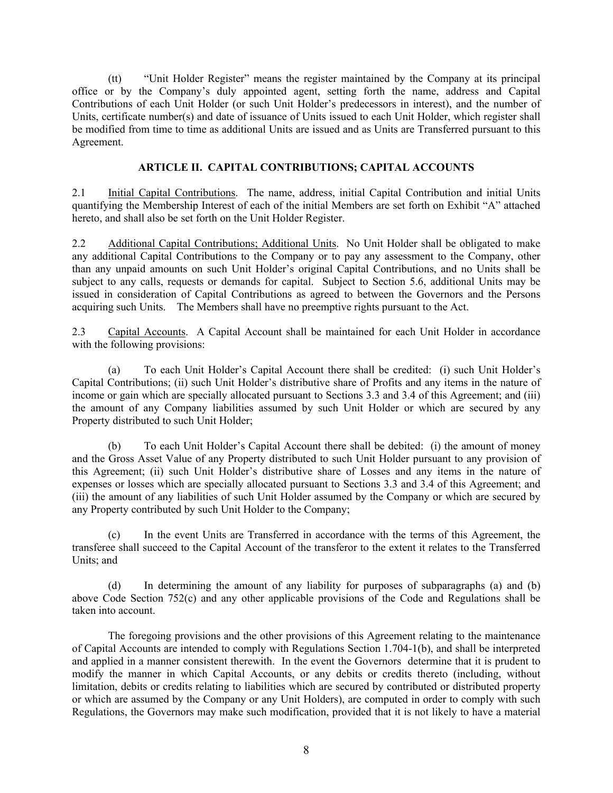(tt) "Unit Holder Register" means the register maintained by the Company at its principal office or by the Company's duly appointed agent, setting forth the name, address and Capital Contributions of each Unit Holder (or such Unit Holder's predecessors in interest), and the number of Units, certificate number(s) and date of issuance of Units issued to each Unit Holder, which register shall be modified from time to time as additional Units are issued and as Units are Transferred pursuant to this Agreement.

### <span id="page-11-2"></span><span id="page-11-1"></span><span id="page-11-0"></span>**ARTICLE II. CAPITAL CONTRIBUTIONS; CAPITAL ACCOUNTS**

2.1 Initial Capital Contributions. The name, address, initial Capital Contribution and initial Units quantifying the Membership Interest of each of the initial Members are set forth on Exhibit "A" attached hereto, and shall also be set forth on the Unit Holder Register.

2.2 Additional Capital Contributions; Additional Units. No Unit Holder shall be obligated to make any additional Capital Contributions to the Company or to pay any assessment to the Company, other than any unpaid amounts on such Unit Holder's original Capital Contributions, and no Units shall be subject to any calls, requests or demands for capital. Subject to Section 5.6, additional Units may be issued in consideration of Capital Contributions as agreed to between the Governors and the Persons acquiring such Units. The Members shall have no preemptive rights pursuant to the Act.

<span id="page-11-3"></span>2.3 Capital Accounts. A Capital Account shall be maintained for each Unit Holder in accordance with the following provisions:

(a) To each Unit Holder's Capital Account there shall be credited: (i) such Unit Holder's Capital Contributions; (ii) such Unit Holder's distributive share of Profits and any items in the nature of income or gain which are specially allocated pursuant to Sections 3.3 and 3.4 of this Agreement; and (iii) the amount of any Company liabilities assumed by such Unit Holder or which are secured by any Property distributed to such Unit Holder;

(b) To each Unit Holder's Capital Account there shall be debited: (i) the amount of money and the Gross Asset Value of any Property distributed to such Unit Holder pursuant to any provision of this Agreement; (ii) such Unit Holder's distributive share of Losses and any items in the nature of expenses or losses which are specially allocated pursuant to Sections 3.3 and 3.4 of this Agreement; and (iii) the amount of any liabilities of such Unit Holder assumed by the Company or which are secured by any Property contributed by such Unit Holder to the Company;

(c) In the event Units are Transferred in accordance with the terms of this Agreement, the transferee shall succeed to the Capital Account of the transferor to the extent it relates to the Transferred Units; and

(d) In determining the amount of any liability for purposes of subparagraphs (a) and (b) above Code Section 752(c) and any other applicable provisions of the Code and Regulations shall be taken into account.

The foregoing provisions and the other provisions of this Agreement relating to the maintenance of Capital Accounts are intended to comply with Regulations Section 1.704-1(b), and shall be interpreted and applied in a manner consistent therewith. In the event the Governors determine that it is prudent to modify the manner in which Capital Accounts, or any debits or credits thereto (including, without limitation, debits or credits relating to liabilities which are secured by contributed or distributed property or which are assumed by the Company or any Unit Holders), are computed in order to comply with such Regulations, the Governors may make such modification, provided that it is not likely to have a material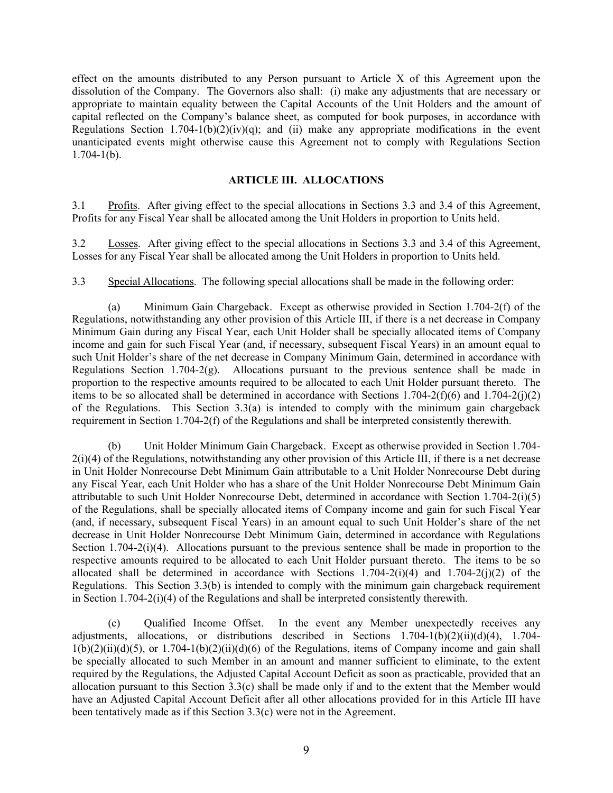effect on the amounts distributed to any Person pursuant to Article X of this Agreement upon the dissolution of the Company. The Governors also shall: (i) make any adjustments that are necessary or appropriate to maintain equality between the Capital Accounts of the Unit Holders and the amount of capital reflected on the Company's balance sheet, as computed for book purposes, in accordance with Regulations Section 1.704-1(b)(2)(iv)(q); and (ii) make any appropriate modifications in the event unanticipated events might otherwise cause this Agreement not to comply with Regulations Section  $1.704 - 1(b)$ .

### <span id="page-12-3"></span><span id="page-12-0"></span>**ARTICLE III. ALLOCATIONS**

<span id="page-12-1"></span>3.1 Profits. After giving effect to the special allocations in Sections 3.3 and 3.4 of this Agreement, Profits for any Fiscal Year shall be allocated among the Unit Holders in proportion to Units held.

<span id="page-12-2"></span>3.2 Losses. After giving effect to the special allocations in Sections 3.3 and 3.4 of this Agreement, Losses for any Fiscal Year shall be allocated among the Unit Holders in proportion to Units held.

3.3 Special Allocations. The following special allocations shall be made in the following order:

(a) Minimum Gain Chargeback. Except as otherwise provided in Section 1.704-2(f) of the Regulations, notwithstanding any other provision of this Article III, if there is a net decrease in Company Minimum Gain during any Fiscal Year, each Unit Holder shall be specially allocated items of Company income and gain for such Fiscal Year (and, if necessary, subsequent Fiscal Years) in an amount equal to such Unit Holder's share of the net decrease in Company Minimum Gain, determined in accordance with Regulations Section 1.704-2(g). Allocations pursuant to the previous sentence shall be made in proportion to the respective amounts required to be allocated to each Unit Holder pursuant thereto. The items to be so allocated shall be determined in accordance with Sections 1.704-2(f)(6) and 1.704-2(j)(2) of the Regulations. This Section 3.3(a) is intended to comply with the minimum gain chargeback requirement in Section 1.704-2(f) of the Regulations and shall be interpreted consistently therewith.

(b) Unit Holder Minimum Gain Chargeback. Except as otherwise provided in Section 1.704-  $2(i)(4)$  of the Regulations, notwithstanding any other provision of this Article III, if there is a net decrease in Unit Holder Nonrecourse Debt Minimum Gain attributable to a Unit Holder Nonrecourse Debt during any Fiscal Year, each Unit Holder who has a share of the Unit Holder Nonrecourse Debt Minimum Gain attributable to such Unit Holder Nonrecourse Debt, determined in accordance with Section 1.704-2(i)(5) of the Regulations, shall be specially allocated items of Company income and gain for such Fiscal Year (and, if necessary, subsequent Fiscal Years) in an amount equal to such Unit Holder's share of the net decrease in Unit Holder Nonrecourse Debt Minimum Gain, determined in accordance with Regulations Section 1.704-2(i)(4). Allocations pursuant to the previous sentence shall be made in proportion to the respective amounts required to be allocated to each Unit Holder pursuant thereto. The items to be so allocated shall be determined in accordance with Sections  $1.704-2(i)(4)$  and  $1.704-2(i)(2)$  of the Regulations. This Section 3.3(b) is intended to comply with the minimum gain chargeback requirement in Section 1.704-2(i)(4) of the Regulations and shall be interpreted consistently therewith.

(c) Qualified Income Offset. In the event any Member unexpectedly receives any adjustments, allocations, or distributions described in Sections 1.704-1(b)(2)(ii)(d)(4), 1.704-  $1(b)(2)(ii)(d)(5)$ , or  $1.704-1(b)(2)(ii)(d)(6)$  of the Regulations, items of Company income and gain shall be specially allocated to such Member in an amount and manner sufficient to eliminate, to the extent required by the Regulations, the Adjusted Capital Account Deficit as soon as practicable, provided that an allocation pursuant to this Section 3.3(c) shall be made only if and to the extent that the Member would have an Adjusted Capital Account Deficit after all other allocations provided for in this Article III have been tentatively made as if this Section 3.3(c) were not in the Agreement.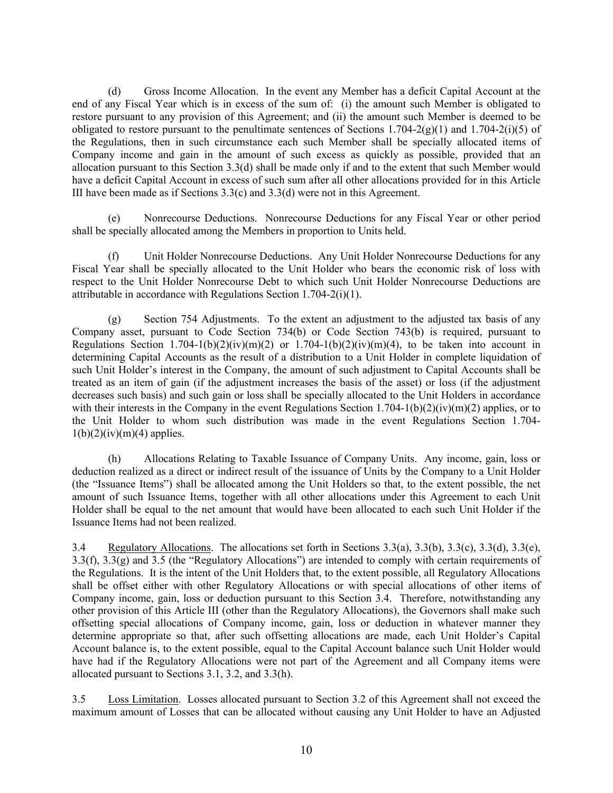(d) Gross Income Allocation. In the event any Member has a deficit Capital Account at the end of any Fiscal Year which is in excess of the sum of: (i) the amount such Member is obligated to restore pursuant to any provision of this Agreement; and (ii) the amount such Member is deemed to be obligated to restore pursuant to the penultimate sentences of Sections 1.704-2(g)(1) and 1.704-2(i)(5) of the Regulations, then in such circumstance each such Member shall be specially allocated items of Company income and gain in the amount of such excess as quickly as possible, provided that an allocation pursuant to this Section 3.3(d) shall be made only if and to the extent that such Member would have a deficit Capital Account in excess of such sum after all other allocations provided for in this Article III have been made as if Sections 3.3(c) and 3.3(d) were not in this Agreement.

(e) Nonrecourse Deductions. Nonrecourse Deductions for any Fiscal Year or other period shall be specially allocated among the Members in proportion to Units held.

(f) Unit Holder Nonrecourse Deductions. Any Unit Holder Nonrecourse Deductions for any Fiscal Year shall be specially allocated to the Unit Holder who bears the economic risk of loss with respect to the Unit Holder Nonrecourse Debt to which such Unit Holder Nonrecourse Deductions are attributable in accordance with Regulations Section 1.704-2(i)(1).

(g) Section 754 Adjustments. To the extent an adjustment to the adjusted tax basis of any Company asset, pursuant to Code Section 734(b) or Code Section 743(b) is required, pursuant to Regulations Section 1.704-1(b)(2)(iv)(m)(2) or 1.704-1(b)(2)(iv)(m)(4), to be taken into account in determining Capital Accounts as the result of a distribution to a Unit Holder in complete liquidation of such Unit Holder's interest in the Company, the amount of such adjustment to Capital Accounts shall be treated as an item of gain (if the adjustment increases the basis of the asset) or loss (if the adjustment decreases such basis) and such gain or loss shall be specially allocated to the Unit Holders in accordance with their interests in the Company in the event Regulations Section 1.704-1(b)(2)(iv)(m)(2) applies, or to the Unit Holder to whom such distribution was made in the event Regulations Section 1.704-  $1(b)(2)(iv)(m)(4)$  applies.

(h) Allocations Relating to Taxable Issuance of Company Units. Any income, gain, loss or deduction realized as a direct or indirect result of the issuance of Units by the Company to a Unit Holder (the "Issuance Items") shall be allocated among the Unit Holders so that, to the extent possible, the net amount of such Issuance Items, together with all other allocations under this Agreement to each Unit Holder shall be equal to the net amount that would have been allocated to each such Unit Holder if the Issuance Items had not been realized.

<span id="page-13-0"></span>3.4 Regulatory Allocations. The allocations set forth in Sections 3.3(a), 3.3(b), 3.3(c), 3.3(d), 3.3(e), 3.3(f), 3.3(g) and 3.5 (the "Regulatory Allocations") are intended to comply with certain requirements of the Regulations. It is the intent of the Unit Holders that, to the extent possible, all Regulatory Allocations shall be offset either with other Regulatory Allocations or with special allocations of other items of Company income, gain, loss or deduction pursuant to this Section 3.4. Therefore, notwithstanding any other provision of this Article III (other than the Regulatory Allocations), the Governors shall make such offsetting special allocations of Company income, gain, loss or deduction in whatever manner they determine appropriate so that, after such offsetting allocations are made, each Unit Holder's Capital Account balance is, to the extent possible, equal to the Capital Account balance such Unit Holder would have had if the Regulatory Allocations were not part of the Agreement and all Company items were allocated pursuant to Sections 3.1, 3.2, and 3.3(h).

<span id="page-13-1"></span>3.5 Loss Limitation. Losses allocated pursuant to Section 3.2 of this Agreement shall not exceed the maximum amount of Losses that can be allocated without causing any Unit Holder to have an Adjusted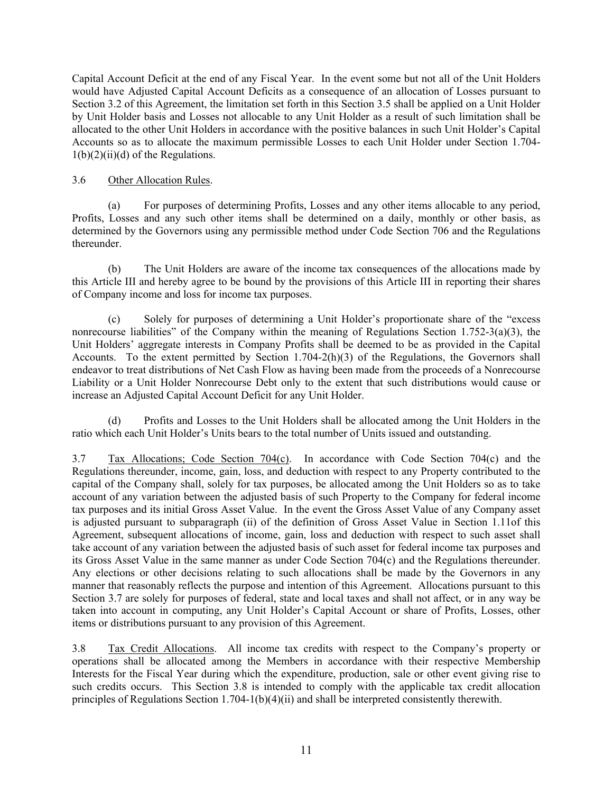Capital Account Deficit at the end of any Fiscal Year. In the event some but not all of the Unit Holders would have Adjusted Capital Account Deficits as a consequence of an allocation of Losses pursuant to Section 3.2 of this Agreement, the limitation set forth in this Section 3.5 shall be applied on a Unit Holder by Unit Holder basis and Losses not allocable to any Unit Holder as a result of such limitation shall be allocated to the other Unit Holders in accordance with the positive balances in such Unit Holder's Capital Accounts so as to allocate the maximum permissible Losses to each Unit Holder under Section 1.704-  $1(b)(2)(ii)(d)$  of the Regulations.

### <span id="page-14-0"></span>3.6 Other Allocation Rules.

(a) For purposes of determining Profits, Losses and any other items allocable to any period, Profits, Losses and any such other items shall be determined on a daily, monthly or other basis, as determined by the Governors using any permissible method under Code Section 706 and the Regulations thereunder.

(b) The Unit Holders are aware of the income tax consequences of the allocations made by this Article III and hereby agree to be bound by the provisions of this Article III in reporting their shares of Company income and loss for income tax purposes.

(c) Solely for purposes of determining a Unit Holder's proportionate share of the "excess nonrecourse liabilities" of the Company within the meaning of Regulations Section 1.752-3(a)(3), the Unit Holders' aggregate interests in Company Profits shall be deemed to be as provided in the Capital Accounts. To the extent permitted by Section  $1.704-2(h)(3)$  of the Regulations, the Governors shall endeavor to treat distributions of Net Cash Flow as having been made from the proceeds of a Nonrecourse Liability or a Unit Holder Nonrecourse Debt only to the extent that such distributions would cause or increase an Adjusted Capital Account Deficit for any Unit Holder.

(d) Profits and Losses to the Unit Holders shall be allocated among the Unit Holders in the ratio which each Unit Holder's Units bears to the total number of Units issued and outstanding.

<span id="page-14-1"></span>3.7 Tax Allocations; Code Section 704(c). In accordance with Code Section 704(c) and the Regulations thereunder, income, gain, loss, and deduction with respect to any Property contributed to the capital of the Company shall, solely for tax purposes, be allocated among the Unit Holders so as to take account of any variation between the adjusted basis of such Property to the Company for federal income tax purposes and its initial Gross Asset Value. In the event the Gross Asset Value of any Company asset is adjusted pursuant to subparagraph (ii) of the definition of Gross Asset Value in Section 1.11of this Agreement, subsequent allocations of income, gain, loss and deduction with respect to such asset shall take account of any variation between the adjusted basis of such asset for federal income tax purposes and its Gross Asset Value in the same manner as under Code Section 704(c) and the Regulations thereunder. Any elections or other decisions relating to such allocations shall be made by the Governors in any manner that reasonably reflects the purpose and intention of this Agreement. Allocations pursuant to this Section 3.7 are solely for purposes of federal, state and local taxes and shall not affect, or in any way be taken into account in computing, any Unit Holder's Capital Account or share of Profits, Losses, other items or distributions pursuant to any provision of this Agreement.

<span id="page-14-2"></span>3.8 Tax Credit Allocations. All income tax credits with respect to the Company's property or operations shall be allocated among the Members in accordance with their respective Membership Interests for the Fiscal Year during which the expenditure, production, sale or other event giving rise to such credits occurs. This Section 3.8 is intended to comply with the applicable tax credit allocation principles of Regulations Section 1.704-1(b)(4)(ii) and shall be interpreted consistently therewith.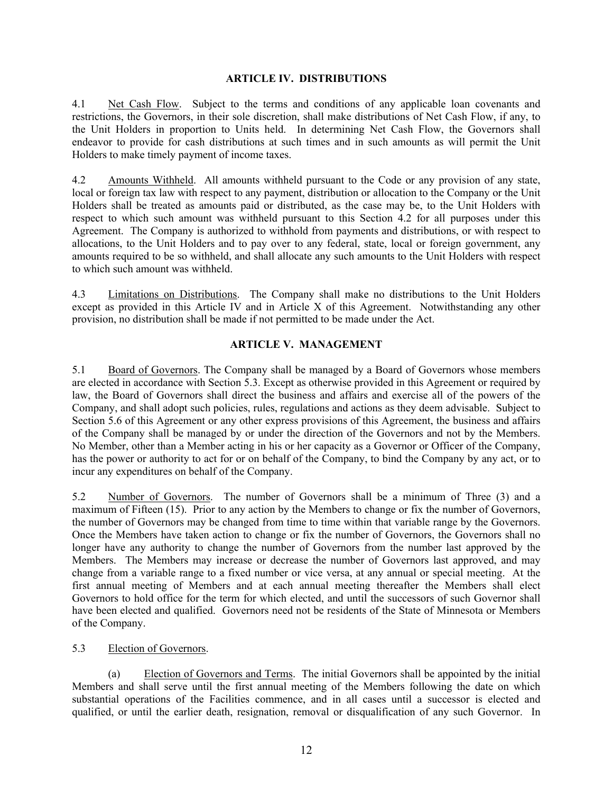### <span id="page-15-2"></span><span id="page-15-1"></span><span id="page-15-0"></span>**ARTICLE IV. DISTRIBUTIONS**

4.1 Net Cash Flow. Subject to the terms and conditions of any applicable loan covenants and restrictions, the Governors, in their sole discretion, shall make distributions of Net Cash Flow, if any, to the Unit Holders in proportion to Units held. In determining Net Cash Flow, the Governors shall endeavor to provide for cash distributions at such times and in such amounts as will permit the Unit Holders to make timely payment of income taxes.

4.2 Amounts Withheld. All amounts withheld pursuant to the Code or any provision of any state, local or foreign tax law with respect to any payment, distribution or allocation to the Company or the Unit Holders shall be treated as amounts paid or distributed, as the case may be, to the Unit Holders with respect to which such amount was withheld pursuant to this Section 4.2 for all purposes under this Agreement. The Company is authorized to withhold from payments and distributions, or with respect to allocations, to the Unit Holders and to pay over to any federal, state, local or foreign government, any amounts required to be so withheld, and shall allocate any such amounts to the Unit Holders with respect to which such amount was withheld.

4.3 Limitations on Distributions. The Company shall make no distributions to the Unit Holders except as provided in this Article IV and in Article X of this Agreement. Notwithstanding any other provision, no distribution shall be made if not permitted to be made under the Act.

### <span id="page-15-5"></span><span id="page-15-4"></span><span id="page-15-3"></span>**ARTICLE V. MANAGEMENT**

5.1 Board of Governors. The Company shall be managed by a Board of Governors whose members are elected in accordance with Section 5.3. Except as otherwise provided in this Agreement or required by law, the Board of Governors shall direct the business and affairs and exercise all of the powers of the Company, and shall adopt such policies, rules, regulations and actions as they deem advisable. Subject to Section 5.6 of this Agreement or any other express provisions of this Agreement, the business and affairs of the Company shall be managed by or under the direction of the Governors and not by the Members. No Member, other than a Member acting in his or her capacity as a Governor or Officer of the Company, has the power or authority to act for or on behalf of the Company, to bind the Company by any act, or to incur any expenditures on behalf of the Company.

<span id="page-15-6"></span>5.2 Number of Governors. The number of Governors shall be a minimum of Three (3) and a maximum of Fifteen (15). Prior to any action by the Members to change or fix the number of Governors, the number of Governors may be changed from time to time within that variable range by the Governors. Once the Members have taken action to change or fix the number of Governors, the Governors shall no longer have any authority to change the number of Governors from the number last approved by the Members. The Members may increase or decrease the number of Governors last approved, and may change from a variable range to a fixed number or vice versa, at any annual or special meeting. At the first annual meeting of Members and at each annual meeting thereafter the Members shall elect Governors to hold office for the term for which elected, and until the successors of such Governor shall have been elected and qualified. Governors need not be residents of the State of Minnesota or Members of the Company.

### <span id="page-15-7"></span>5.3 Election of Governors.

(a) Election of Governors and Terms. The initial Governors shall be appointed by the initial Members and shall serve until the first annual meeting of the Members following the date on which substantial operations of the Facilities commence, and in all cases until a successor is elected and qualified, or until the earlier death, resignation, removal or disqualification of any such Governor. In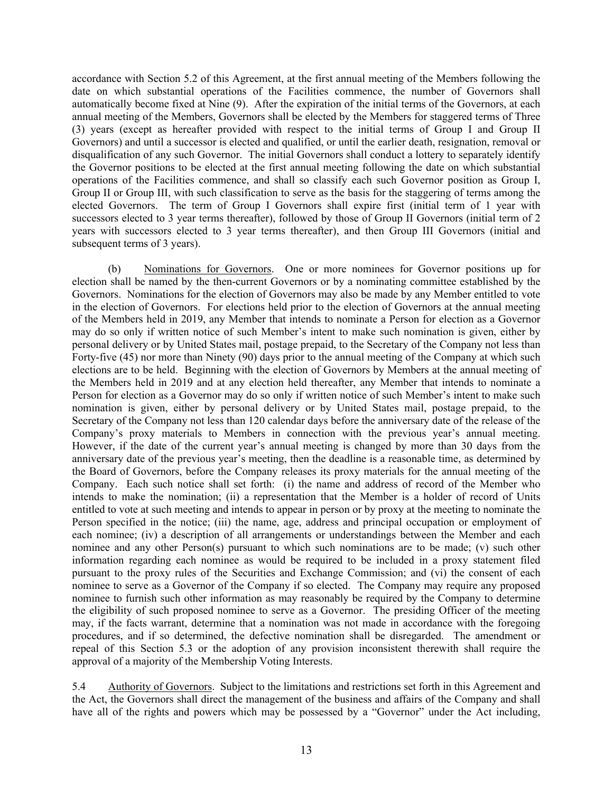accordance with Section 5.2 of this Agreement, at the first annual meeting of the Members following the date on which substantial operations of the Facilities commence, the number of Governors shall automatically become fixed at Nine (9). After the expiration of the initial terms of the Governors, at each annual meeting of the Members, Governors shall be elected by the Members for staggered terms of Three (3) years (except as hereafter provided with respect to the initial terms of Group I and Group II Governors) and until a successor is elected and qualified, or until the earlier death, resignation, removal or disqualification of any such Governor. The initial Governors shall conduct a lottery to separately identify the Governor positions to be elected at the first annual meeting following the date on which substantial operations of the Facilities commence, and shall so classify each such Governor position as Group I, Group II or Group III, with such classification to serve as the basis for the staggering of terms among the elected Governors. The term of Group I Governors shall expire first (initial term of 1 year with successors elected to 3 year terms thereafter), followed by those of Group II Governors (initial term of 2 years with successors elected to 3 year terms thereafter), and then Group III Governors (initial and subsequent terms of 3 years).

(b) Nominations for Governors. One or more nominees for Governor positions up for election shall be named by the then-current Governors or by a nominating committee established by the Governors. Nominations for the election of Governors may also be made by any Member entitled to vote in the election of Governors. For elections held prior to the election of Governors at the annual meeting of the Members held in 2019, any Member that intends to nominate a Person for election as a Governor may do so only if written notice of such Member's intent to make such nomination is given, either by personal delivery or by United States mail, postage prepaid, to the Secretary of the Company not less than Forty-five (45) nor more than Ninety (90) days prior to the annual meeting of the Company at which such elections are to be held. Beginning with the election of Governors by Members at the annual meeting of the Members held in 2019 and at any election held thereafter, any Member that intends to nominate a Person for election as a Governor may do so only if written notice of such Member's intent to make such nomination is given, either by personal delivery or by United States mail, postage prepaid, to the Secretary of the Company not less than 120 calendar days before the anniversary date of the release of the Company's proxy materials to Members in connection with the previous year's annual meeting. However, if the date of the current year's annual meeting is changed by more than 30 days from the anniversary date of the previous year's meeting, then the deadline is a reasonable time, as determined by the Board of Governors, before the Company releases its proxy materials for the annual meeting of the Company. Each such notice shall set forth: (i) the name and address of record of the Member who intends to make the nomination; (ii) a representation that the Member is a holder of record of Units entitled to vote at such meeting and intends to appear in person or by proxy at the meeting to nominate the Person specified in the notice; (iii) the name, age, address and principal occupation or employment of each nominee; (iv) a description of all arrangements or understandings between the Member and each nominee and any other Person(s) pursuant to which such nominations are to be made; (v) such other information regarding each nominee as would be required to be included in a proxy statement filed pursuant to the proxy rules of the Securities and Exchange Commission; and (vi) the consent of each nominee to serve as a Governor of the Company if so elected. The Company may require any proposed nominee to furnish such other information as may reasonably be required by the Company to determine the eligibility of such proposed nominee to serve as a Governor. The presiding Officer of the meeting may, if the facts warrant, determine that a nomination was not made in accordance with the foregoing procedures, and if so determined, the defective nomination shall be disregarded. The amendment or repeal of this Section 5.3 or the adoption of any provision inconsistent therewith shall require the approval of a majority of the Membership Voting Interests.

<span id="page-16-0"></span>5.4 Authority of Governors. Subject to the limitations and restrictions set forth in this Agreement and the Act, the Governors shall direct the management of the business and affairs of the Company and shall have all of the rights and powers which may be possessed by a "Governor" under the Act including,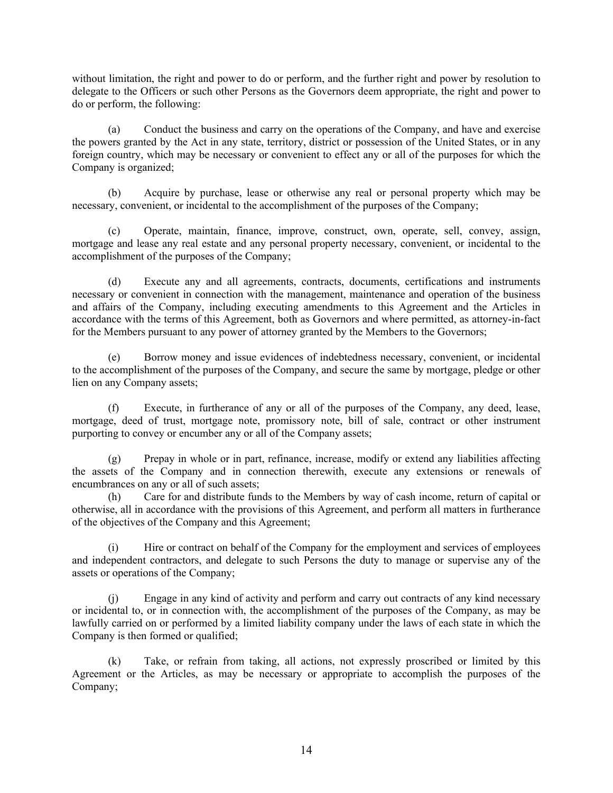without limitation, the right and power to do or perform, and the further right and power by resolution to delegate to the Officers or such other Persons as the Governors deem appropriate, the right and power to do or perform, the following:

(a) Conduct the business and carry on the operations of the Company, and have and exercise the powers granted by the Act in any state, territory, district or possession of the United States, or in any foreign country, which may be necessary or convenient to effect any or all of the purposes for which the Company is organized;

(b) Acquire by purchase, lease or otherwise any real or personal property which may be necessary, convenient, or incidental to the accomplishment of the purposes of the Company;

(c) Operate, maintain, finance, improve, construct, own, operate, sell, convey, assign, mortgage and lease any real estate and any personal property necessary, convenient, or incidental to the accomplishment of the purposes of the Company;

(d) Execute any and all agreements, contracts, documents, certifications and instruments necessary or convenient in connection with the management, maintenance and operation of the business and affairs of the Company, including executing amendments to this Agreement and the Articles in accordance with the terms of this Agreement, both as Governors and where permitted, as attorney-in-fact for the Members pursuant to any power of attorney granted by the Members to the Governors;

(e) Borrow money and issue evidences of indebtedness necessary, convenient, or incidental to the accomplishment of the purposes of the Company, and secure the same by mortgage, pledge or other lien on any Company assets;

(f) Execute, in furtherance of any or all of the purposes of the Company, any deed, lease, mortgage, deed of trust, mortgage note, promissory note, bill of sale, contract or other instrument purporting to convey or encumber any or all of the Company assets;

(g) Prepay in whole or in part, refinance, increase, modify or extend any liabilities affecting the assets of the Company and in connection therewith, execute any extensions or renewals of encumbrances on any or all of such assets;

(h) Care for and distribute funds to the Members by way of cash income, return of capital or otherwise, all in accordance with the provisions of this Agreement, and perform all matters in furtherance of the objectives of the Company and this Agreement;

(i) Hire or contract on behalf of the Company for the employment and services of employees and independent contractors, and delegate to such Persons the duty to manage or supervise any of the assets or operations of the Company;

(j) Engage in any kind of activity and perform and carry out contracts of any kind necessary or incidental to, or in connection with, the accomplishment of the purposes of the Company, as may be lawfully carried on or performed by a limited liability company under the laws of each state in which the Company is then formed or qualified;

(k) Take, or refrain from taking, all actions, not expressly proscribed or limited by this Agreement or the Articles, as may be necessary or appropriate to accomplish the purposes of the Company;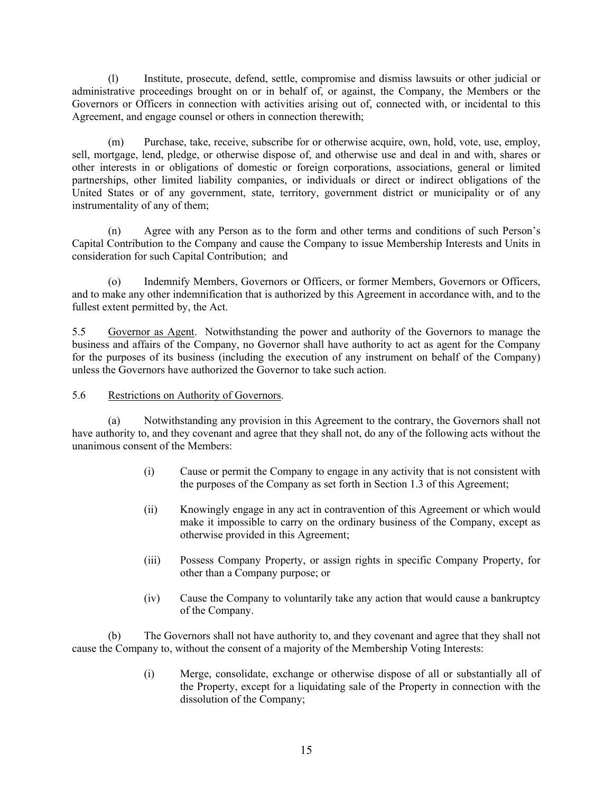(l) Institute, prosecute, defend, settle, compromise and dismiss lawsuits or other judicial or administrative proceedings brought on or in behalf of, or against, the Company, the Members or the Governors or Officers in connection with activities arising out of, connected with, or incidental to this Agreement, and engage counsel or others in connection therewith;

(m) Purchase, take, receive, subscribe for or otherwise acquire, own, hold, vote, use, employ, sell, mortgage, lend, pledge, or otherwise dispose of, and otherwise use and deal in and with, shares or other interests in or obligations of domestic or foreign corporations, associations, general or limited partnerships, other limited liability companies, or individuals or direct or indirect obligations of the United States or of any government, state, territory, government district or municipality or of any instrumentality of any of them;

(n) Agree with any Person as to the form and other terms and conditions of such Person's Capital Contribution to the Company and cause the Company to issue Membership Interests and Units in consideration for such Capital Contribution; and

(o) Indemnify Members, Governors or Officers, or former Members, Governors or Officers, and to make any other indemnification that is authorized by this Agreement in accordance with, and to the fullest extent permitted by, the Act.

<span id="page-18-0"></span>5.5 Governor as Agent. Notwithstanding the power and authority of the Governors to manage the business and affairs of the Company, no Governor shall have authority to act as agent for the Company for the purposes of its business (including the execution of any instrument on behalf of the Company) unless the Governors have authorized the Governor to take such action.

### 5.6 Restrictions on Authority of Governors.

(a) Notwithstanding any provision in this Agreement to the contrary, the Governors shall not have authority to, and they covenant and agree that they shall not, do any of the following acts without the unanimous consent of the Members:

- <span id="page-18-1"></span>(i) Cause or permit the Company to engage in any activity that is not consistent with the purposes of the Company as set forth in Section 1.3 of this Agreement;
- (ii) Knowingly engage in any act in contravention of this Agreement or which would make it impossible to carry on the ordinary business of the Company, except as otherwise provided in this Agreement;
- (iii) Possess Company Property, or assign rights in specific Company Property, for other than a Company purpose; or
- (iv) Cause the Company to voluntarily take any action that would cause a bankruptcy of the Company.

(b) The Governors shall not have authority to, and they covenant and agree that they shall not cause the Company to, without the consent of a majority of the Membership Voting Interests:

> (i) Merge, consolidate, exchange or otherwise dispose of all or substantially all of the Property, except for a liquidating sale of the Property in connection with the dissolution of the Company;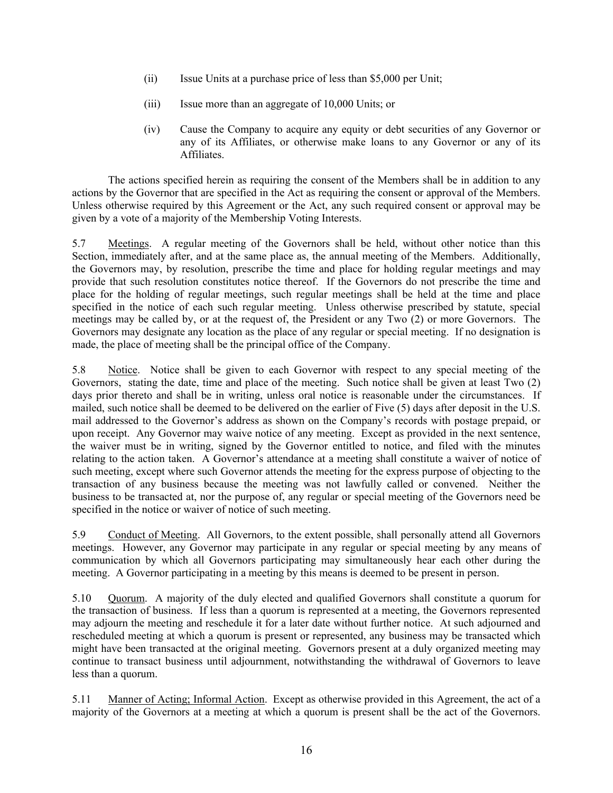- (ii) Issue Units at a purchase price of less than \$5,000 per Unit;
- (iii) Issue more than an aggregate of 10,000 Units; or
- (iv) Cause the Company to acquire any equity or debt securities of any Governor or any of its Affiliates, or otherwise make loans to any Governor or any of its **Affiliates**

The actions specified herein as requiring the consent of the Members shall be in addition to any actions by the Governor that are specified in the Act as requiring the consent or approval of the Members. Unless otherwise required by this Agreement or the Act, any such required consent or approval may be given by a vote of a majority of the Membership Voting Interests.

<span id="page-19-0"></span>5.7 Meetings. A regular meeting of the Governors shall be held, without other notice than this Section, immediately after, and at the same place as, the annual meeting of the Members. Additionally, the Governors may, by resolution, prescribe the time and place for holding regular meetings and may provide that such resolution constitutes notice thereof. If the Governors do not prescribe the time and place for the holding of regular meetings, such regular meetings shall be held at the time and place specified in the notice of each such regular meeting. Unless otherwise prescribed by statute, special meetings may be called by, or at the request of, the President or any Two (2) or more Governors. The Governors may designate any location as the place of any regular or special meeting. If no designation is made, the place of meeting shall be the principal office of the Company.

<span id="page-19-1"></span>5.8 Notice. Notice shall be given to each Governor with respect to any special meeting of the Governors, stating the date, time and place of the meeting. Such notice shall be given at least Two (2) days prior thereto and shall be in writing, unless oral notice is reasonable under the circumstances. If mailed, such notice shall be deemed to be delivered on the earlier of Five (5) days after deposit in the U.S. mail addressed to the Governor's address as shown on the Company's records with postage prepaid, or upon receipt. Any Governor may waive notice of any meeting. Except as provided in the next sentence, the waiver must be in writing, signed by the Governor entitled to notice, and filed with the minutes relating to the action taken. A Governor's attendance at a meeting shall constitute a waiver of notice of such meeting, except where such Governor attends the meeting for the express purpose of objecting to the transaction of any business because the meeting was not lawfully called or convened. Neither the business to be transacted at, nor the purpose of, any regular or special meeting of the Governors need be specified in the notice or waiver of notice of such meeting.

<span id="page-19-2"></span>5.9 Conduct of Meeting. All Governors, to the extent possible, shall personally attend all Governors meetings. However, any Governor may participate in any regular or special meeting by any means of communication by which all Governors participating may simultaneously hear each other during the meeting. A Governor participating in a meeting by this means is deemed to be present in person.

<span id="page-19-3"></span>5.10 Quorum. A majority of the duly elected and qualified Governors shall constitute a quorum for the transaction of business. If less than a quorum is represented at a meeting, the Governors represented may adjourn the meeting and reschedule it for a later date without further notice. At such adjourned and rescheduled meeting at which a quorum is present or represented, any business may be transacted which might have been transacted at the original meeting. Governors present at a duly organized meeting may continue to transact business until adjournment, notwithstanding the withdrawal of Governors to leave less than a quorum.

<span id="page-19-4"></span>5.11 Manner of Acting; Informal Action. Except as otherwise provided in this Agreement, the act of a majority of the Governors at a meeting at which a quorum is present shall be the act of the Governors.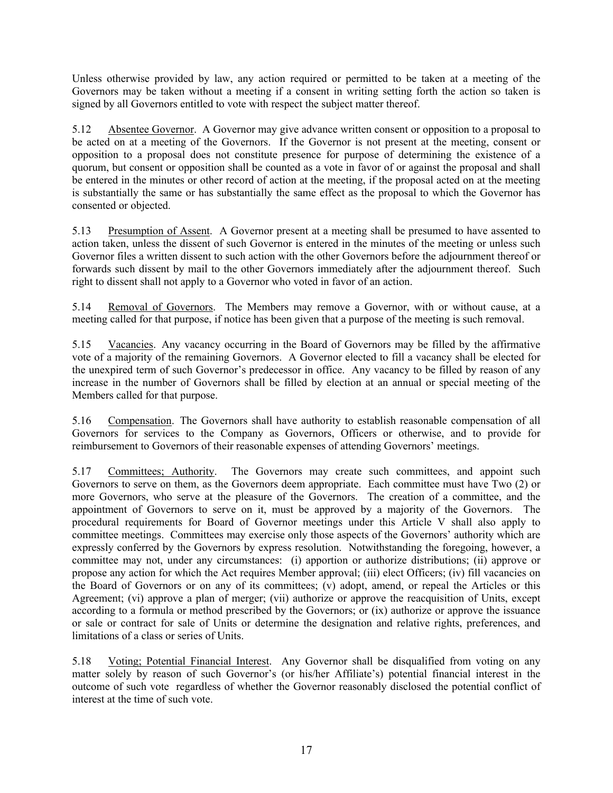Unless otherwise provided by law, any action required or permitted to be taken at a meeting of the Governors may be taken without a meeting if a consent in writing setting forth the action so taken is signed by all Governors entitled to vote with respect the subject matter thereof.

<span id="page-20-0"></span>5.12 Absentee Governor. A Governor may give advance written consent or opposition to a proposal to be acted on at a meeting of the Governors. If the Governor is not present at the meeting, consent or opposition to a proposal does not constitute presence for purpose of determining the existence of a quorum, but consent or opposition shall be counted as a vote in favor of or against the proposal and shall be entered in the minutes or other record of action at the meeting, if the proposal acted on at the meeting is substantially the same or has substantially the same effect as the proposal to which the Governor has consented or objected.

<span id="page-20-1"></span>5.13 Presumption of Assent. A Governor present at a meeting shall be presumed to have assented to action taken, unless the dissent of such Governor is entered in the minutes of the meeting or unless such Governor files a written dissent to such action with the other Governors before the adjournment thereof or forwards such dissent by mail to the other Governors immediately after the adjournment thereof. Such right to dissent shall not apply to a Governor who voted in favor of an action.

<span id="page-20-2"></span>5.14 Removal of Governors. The Members may remove a Governor, with or without cause, at a meeting called for that purpose, if notice has been given that a purpose of the meeting is such removal.

<span id="page-20-3"></span>5.15 Vacancies. Any vacancy occurring in the Board of Governors may be filled by the affirmative vote of a majority of the remaining Governors. A Governor elected to fill a vacancy shall be elected for the unexpired term of such Governor's predecessor in office. Any vacancy to be filled by reason of any increase in the number of Governors shall be filled by election at an annual or special meeting of the Members called for that purpose.

<span id="page-20-4"></span>5.16 Compensation. The Governors shall have authority to establish reasonable compensation of all Governors for services to the Company as Governors, Officers or otherwise, and to provide for reimbursement to Governors of their reasonable expenses of attending Governors' meetings.

<span id="page-20-5"></span>5.17 Committees; Authority. The Governors may create such committees, and appoint such Governors to serve on them, as the Governors deem appropriate. Each committee must have Two (2) or more Governors, who serve at the pleasure of the Governors. The creation of a committee, and the appointment of Governors to serve on it, must be approved by a majority of the Governors. The procedural requirements for Board of Governor meetings under this Article V shall also apply to committee meetings. Committees may exercise only those aspects of the Governors' authority which are expressly conferred by the Governors by express resolution. Notwithstanding the foregoing, however, a committee may not, under any circumstances: (i) apportion or authorize distributions; (ii) approve or propose any action for which the Act requires Member approval; (iii) elect Officers; (iv) fill vacancies on the Board of Governors or on any of its committees; (v) adopt, amend, or repeal the Articles or this Agreement; (vi) approve a plan of merger; (vii) authorize or approve the reacquisition of Units, except according to a formula or method prescribed by the Governors; or (ix) authorize or approve the issuance or sale or contract for sale of Units or determine the designation and relative rights, preferences, and limitations of a class or series of Units.

<span id="page-20-6"></span>5.18 Voting; Potential Financial Interest. Any Governor shall be disqualified from voting on any matter solely by reason of such Governor's (or his/her Affiliate's) potential financial interest in the outcome of such vote regardless of whether the Governor reasonably disclosed the potential conflict of interest at the time of such vote.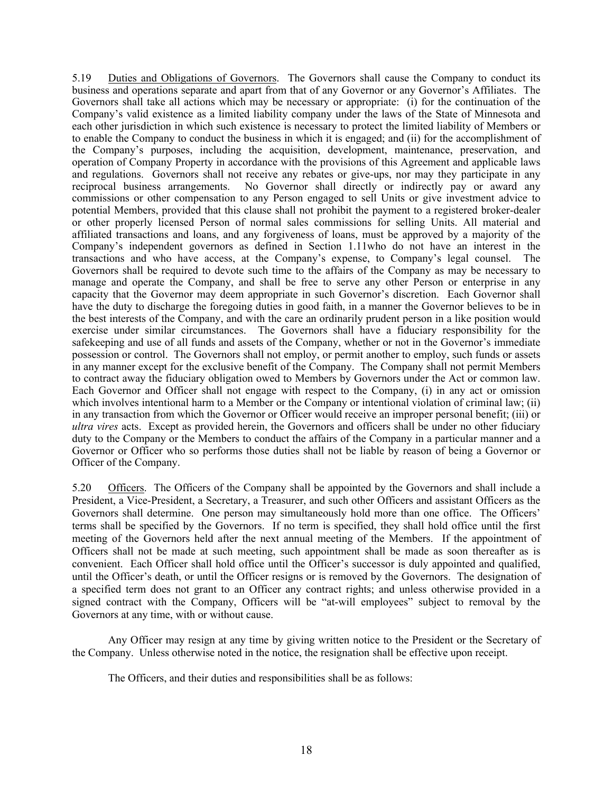<span id="page-21-0"></span>5.19 Duties and Obligations of Governors. The Governors shall cause the Company to conduct its business and operations separate and apart from that of any Governor or any Governor's Affiliates. The Governors shall take all actions which may be necessary or appropriate: (i) for the continuation of the Company's valid existence as a limited liability company under the laws of the State of Minnesota and each other jurisdiction in which such existence is necessary to protect the limited liability of Members or to enable the Company to conduct the business in which it is engaged; and (ii) for the accomplishment of the Company's purposes, including the acquisition, development, maintenance, preservation, and operation of Company Property in accordance with the provisions of this Agreement and applicable laws and regulations. Governors shall not receive any rebates or give-ups, nor may they participate in any reciprocal business arrangements. No Governor shall directly or indirectly pay or award any commissions or other compensation to any Person engaged to sell Units or give investment advice to potential Members, provided that this clause shall not prohibit the payment to a registered broker-dealer or other properly licensed Person of normal sales commissions for selling Units. All material and affiliated transactions and loans, and any forgiveness of loans, must be approved by a majority of the Company's independent governors as defined in Section 1.11who do not have an interest in the transactions and who have access, at the Company's expense, to Company's legal counsel. The Governors shall be required to devote such time to the affairs of the Company as may be necessary to manage and operate the Company, and shall be free to serve any other Person or enterprise in any capacity that the Governor may deem appropriate in such Governor's discretion. Each Governor shall have the duty to discharge the foregoing duties in good faith, in a manner the Governor believes to be in the best interests of the Company, and with the care an ordinarily prudent person in a like position would exercise under similar circumstances. The Governors shall have a fiduciary responsibility for the safekeeping and use of all funds and assets of the Company, whether or not in the Governor's immediate possession or control. The Governors shall not employ, or permit another to employ, such funds or assets in any manner except for the exclusive benefit of the Company. The Company shall not permit Members to contract away the fiduciary obligation owed to Members by Governors under the Act or common law. Each Governor and Officer shall not engage with respect to the Company, (i) in any act or omission which involves intentional harm to a Member or the Company or intentional violation of criminal law; (ii) in any transaction from which the Governor or Officer would receive an improper personal benefit; (iii) or *ultra vires* acts. Except as provided herein, the Governors and officers shall be under no other fiduciary duty to the Company or the Members to conduct the affairs of the Company in a particular manner and a Governor or Officer who so performs those duties shall not be liable by reason of being a Governor or Officer of the Company.

<span id="page-21-1"></span>5.20 Officers. The Officers of the Company shall be appointed by the Governors and shall include a President, a Vice-President, a Secretary, a Treasurer, and such other Officers and assistant Officers as the Governors shall determine. One person may simultaneously hold more than one office. The Officers' terms shall be specified by the Governors. If no term is specified, they shall hold office until the first meeting of the Governors held after the next annual meeting of the Members. If the appointment of Officers shall not be made at such meeting, such appointment shall be made as soon thereafter as is convenient. Each Officer shall hold office until the Officer's successor is duly appointed and qualified, until the Officer's death, or until the Officer resigns or is removed by the Governors. The designation of a specified term does not grant to an Officer any contract rights; and unless otherwise provided in a signed contract with the Company, Officers will be "at-will employees" subject to removal by the Governors at any time, with or without cause.

Any Officer may resign at any time by giving written notice to the President or the Secretary of the Company. Unless otherwise noted in the notice, the resignation shall be effective upon receipt.

The Officers, and their duties and responsibilities shall be as follows: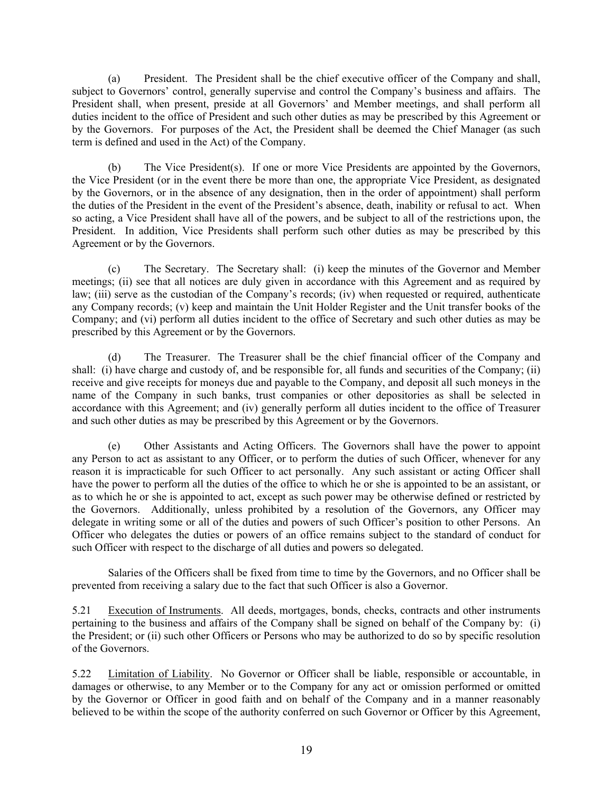(a) President. The President shall be the chief executive officer of the Company and shall, subject to Governors' control, generally supervise and control the Company's business and affairs. The President shall, when present, preside at all Governors' and Member meetings, and shall perform all duties incident to the office of President and such other duties as may be prescribed by this Agreement or by the Governors. For purposes of the Act, the President shall be deemed the Chief Manager (as such term is defined and used in the Act) of the Company.

(b) The Vice President(s). If one or more Vice Presidents are appointed by the Governors, the Vice President (or in the event there be more than one, the appropriate Vice President, as designated by the Governors, or in the absence of any designation, then in the order of appointment) shall perform the duties of the President in the event of the President's absence, death, inability or refusal to act. When so acting, a Vice President shall have all of the powers, and be subject to all of the restrictions upon, the President. In addition, Vice Presidents shall perform such other duties as may be prescribed by this Agreement or by the Governors.

(c) The Secretary. The Secretary shall: (i) keep the minutes of the Governor and Member meetings; (ii) see that all notices are duly given in accordance with this Agreement and as required by law; (iii) serve as the custodian of the Company's records; (iv) when requested or required, authenticate any Company records; (v) keep and maintain the Unit Holder Register and the Unit transfer books of the Company; and (vi) perform all duties incident to the office of Secretary and such other duties as may be prescribed by this Agreement or by the Governors.

(d) The Treasurer. The Treasurer shall be the chief financial officer of the Company and shall: (i) have charge and custody of, and be responsible for, all funds and securities of the Company; (ii) receive and give receipts for moneys due and payable to the Company, and deposit all such moneys in the name of the Company in such banks, trust companies or other depositories as shall be selected in accordance with this Agreement; and (iv) generally perform all duties incident to the office of Treasurer and such other duties as may be prescribed by this Agreement or by the Governors.

(e) Other Assistants and Acting Officers. The Governors shall have the power to appoint any Person to act as assistant to any Officer, or to perform the duties of such Officer, whenever for any reason it is impracticable for such Officer to act personally. Any such assistant or acting Officer shall have the power to perform all the duties of the office to which he or she is appointed to be an assistant, or as to which he or she is appointed to act, except as such power may be otherwise defined or restricted by the Governors. Additionally, unless prohibited by a resolution of the Governors, any Officer may delegate in writing some or all of the duties and powers of such Officer's position to other Persons. An Officer who delegates the duties or powers of an office remains subject to the standard of conduct for such Officer with respect to the discharge of all duties and powers so delegated.

Salaries of the Officers shall be fixed from time to time by the Governors, and no Officer shall be prevented from receiving a salary due to the fact that such Officer is also a Governor.

<span id="page-22-0"></span>5.21 Execution of Instruments. All deeds, mortgages, bonds, checks, contracts and other instruments pertaining to the business and affairs of the Company shall be signed on behalf of the Company by: (i) the President; or (ii) such other Officers or Persons who may be authorized to do so by specific resolution of the Governors.

<span id="page-22-1"></span>5.22 Limitation of Liability. No Governor or Officer shall be liable, responsible or accountable, in damages or otherwise, to any Member or to the Company for any act or omission performed or omitted by the Governor or Officer in good faith and on behalf of the Company and in a manner reasonably believed to be within the scope of the authority conferred on such Governor or Officer by this Agreement,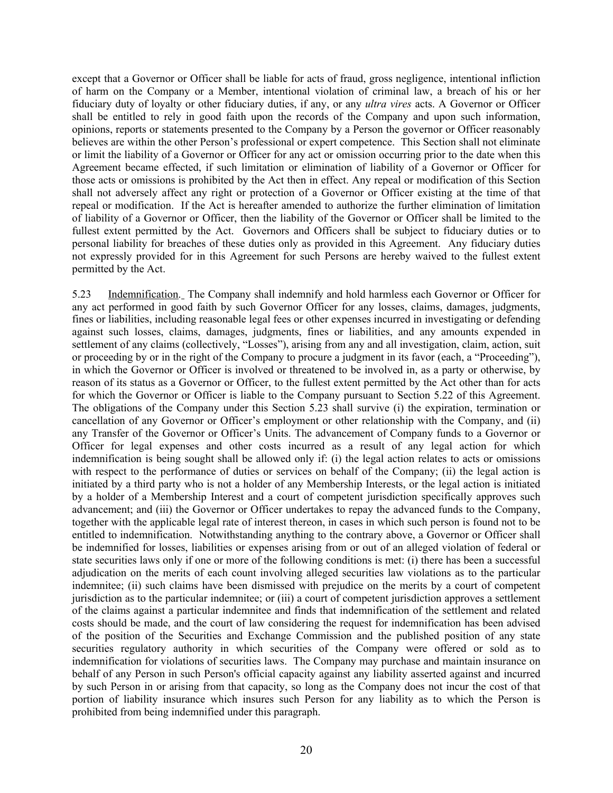except that a Governor or Officer shall be liable for acts of fraud, gross negligence, intentional infliction of harm on the Company or a Member, intentional violation of criminal law, a breach of his or her fiduciary duty of loyalty or other fiduciary duties, if any, or any *ultra vires* acts. A Governor or Officer shall be entitled to rely in good faith upon the records of the Company and upon such information, opinions, reports or statements presented to the Company by a Person the governor or Officer reasonably believes are within the other Person's professional or expert competence. This Section shall not eliminate or limit the liability of a Governor or Officer for any act or omission occurring prior to the date when this Agreement became effected, if such limitation or elimination of liability of a Governor or Officer for those acts or omissions is prohibited by the Act then in effect. Any repeal or modification of this Section shall not adversely affect any right or protection of a Governor or Officer existing at the time of that repeal or modification. If the Act is hereafter amended to authorize the further elimination of limitation of liability of a Governor or Officer, then the liability of the Governor or Officer shall be limited to the fullest extent permitted by the Act. Governors and Officers shall be subject to fiduciary duties or to personal liability for breaches of these duties only as provided in this Agreement. Any fiduciary duties not expressly provided for in this Agreement for such Persons are hereby waived to the fullest extent permitted by the Act.

<span id="page-23-0"></span>5.23 Indemnification. The Company shall indemnify and hold harmless each Governor or Officer for any act performed in good faith by such Governor Officer for any losses, claims, damages, judgments, fines or liabilities, including reasonable legal fees or other expenses incurred in investigating or defending against such losses, claims, damages, judgments, fines or liabilities, and any amounts expended in settlement of any claims (collectively, "Losses"), arising from any and all investigation, claim, action, suit or proceeding by or in the right of the Company to procure a judgment in its favor (each, a "Proceeding"), in which the Governor or Officer is involved or threatened to be involved in, as a party or otherwise, by reason of its status as a Governor or Officer, to the fullest extent permitted by the Act other than for acts for which the Governor or Officer is liable to the Company pursuant to Section 5.22 of this Agreement. The obligations of the Company under this Section 5.23 shall survive (i) the expiration, termination or cancellation of any Governor or Officer's employment or other relationship with the Company, and (ii) any Transfer of the Governor or Officer's Units. The advancement of Company funds to a Governor or Officer for legal expenses and other costs incurred as a result of any legal action for which indemnification is being sought shall be allowed only if: (i) the legal action relates to acts or omissions with respect to the performance of duties or services on behalf of the Company; (ii) the legal action is initiated by a third party who is not a holder of any Membership Interests, or the legal action is initiated by a holder of a Membership Interest and a court of competent jurisdiction specifically approves such advancement; and (iii) the Governor or Officer undertakes to repay the advanced funds to the Company, together with the applicable legal rate of interest thereon, in cases in which such person is found not to be entitled to indemnification. Notwithstanding anything to the contrary above, a Governor or Officer shall be indemnified for losses, liabilities or expenses arising from or out of an alleged violation of federal or state securities laws only if one or more of the following conditions is met: (i) there has been a successful adjudication on the merits of each count involving alleged securities law violations as to the particular indemnitee; (ii) such claims have been dismissed with prejudice on the merits by a court of competent jurisdiction as to the particular indemnitee; or (iii) a court of competent jurisdiction approves a settlement of the claims against a particular indemnitee and finds that indemnification of the settlement and related costs should be made, and the court of law considering the request for indemnification has been advised of the position of the Securities and Exchange Commission and the published position of any state securities regulatory authority in which securities of the Company were offered or sold as to indemnification for violations of securities laws. The Company may purchase and maintain insurance on behalf of any Person in such Person's official capacity against any liability asserted against and incurred by such Person in or arising from that capacity, so long as the Company does not incur the cost of that portion of liability insurance which insures such Person for any liability as to which the Person is prohibited from being indemnified under this paragraph.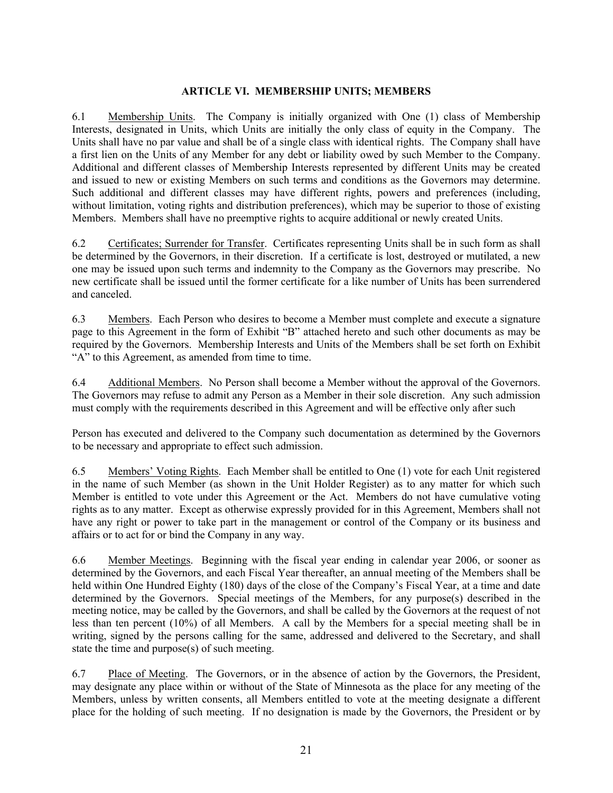### <span id="page-24-2"></span><span id="page-24-1"></span><span id="page-24-0"></span>**ARTICLE VI. MEMBERSHIP UNITS; MEMBERS**

6.1 Membership Units. The Company is initially organized with One (1) class of Membership Interests, designated in Units, which Units are initially the only class of equity in the Company. The Units shall have no par value and shall be of a single class with identical rights. The Company shall have a first lien on the Units of any Member for any debt or liability owed by such Member to the Company. Additional and different classes of Membership Interests represented by different Units may be created and issued to new or existing Members on such terms and conditions as the Governors may determine. Such additional and different classes may have different rights, powers and preferences (including, without limitation, voting rights and distribution preferences), which may be superior to those of existing Members. Members shall have no preemptive rights to acquire additional or newly created Units.

6.2 Certificates; Surrender for Transfer. Certificates representing Units shall be in such form as shall be determined by the Governors, in their discretion. If a certificate is lost, destroyed or mutilated, a new one may be issued upon such terms and indemnity to the Company as the Governors may prescribe. No new certificate shall be issued until the former certificate for a like number of Units has been surrendered and canceled.

<span id="page-24-3"></span>6.3 Members. Each Person who desires to become a Member must complete and execute a signature page to this Agreement in the form of Exhibit "B" attached hereto and such other documents as may be required by the Governors. Membership Interests and Units of the Members shall be set forth on Exhibit "A" to this Agreement, as amended from time to time.

<span id="page-24-4"></span>6.4 Additional Members. No Person shall become a Member without the approval of the Governors. The Governors may refuse to admit any Person as a Member in their sole discretion. Any such admission must comply with the requirements described in this Agreement and will be effective only after such

Person has executed and delivered to the Company such documentation as determined by the Governors to be necessary and appropriate to effect such admission.

<span id="page-24-5"></span>6.5 Members' Voting Rights. Each Member shall be entitled to One (1) vote for each Unit registered in the name of such Member (as shown in the Unit Holder Register) as to any matter for which such Member is entitled to vote under this Agreement or the Act. Members do not have cumulative voting rights as to any matter. Except as otherwise expressly provided for in this Agreement, Members shall not have any right or power to take part in the management or control of the Company or its business and affairs or to act for or bind the Company in any way.

<span id="page-24-6"></span>6.6 Member Meetings. Beginning with the fiscal year ending in calendar year 2006, or sooner as determined by the Governors, and each Fiscal Year thereafter, an annual meeting of the Members shall be held within One Hundred Eighty (180) days of the close of the Company's Fiscal Year, at a time and date determined by the Governors. Special meetings of the Members, for any purpose(s) described in the meeting notice, may be called by the Governors, and shall be called by the Governors at the request of not less than ten percent (10%) of all Members. A call by the Members for a special meeting shall be in writing, signed by the persons calling for the same, addressed and delivered to the Secretary, and shall state the time and purpose(s) of such meeting.

<span id="page-24-7"></span>6.7 Place of Meeting. The Governors, or in the absence of action by the Governors, the President, may designate any place within or without of the State of Minnesota as the place for any meeting of the Members, unless by written consents, all Members entitled to vote at the meeting designate a different place for the holding of such meeting. If no designation is made by the Governors, the President or by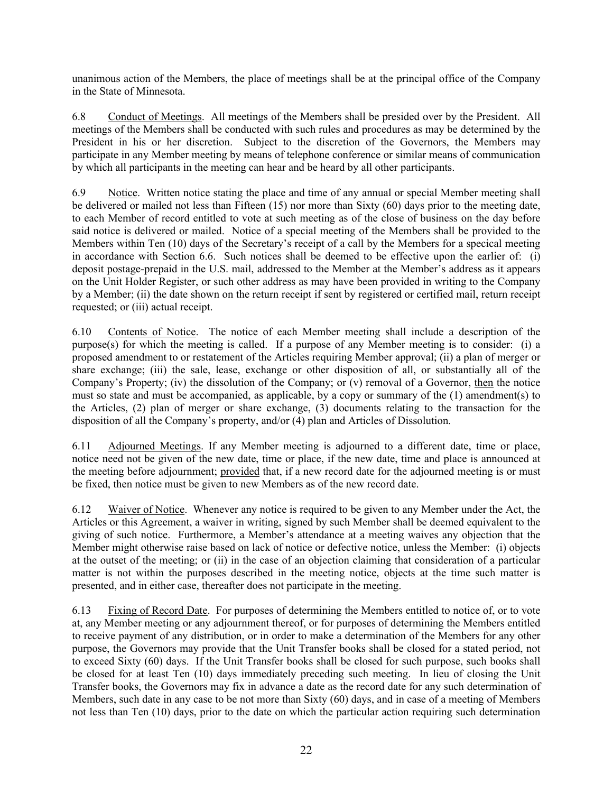unanimous action of the Members, the place of meetings shall be at the principal office of the Company in the State of Minnesota.

<span id="page-25-0"></span>6.8 Conduct of Meetings. All meetings of the Members shall be presided over by the President. All meetings of the Members shall be conducted with such rules and procedures as may be determined by the President in his or her discretion. Subject to the discretion of the Governors, the Members may participate in any Member meeting by means of telephone conference or similar means of communication by which all participants in the meeting can hear and be heard by all other participants.

<span id="page-25-1"></span>6.9 Notice. Written notice stating the place and time of any annual or special Member meeting shall be delivered or mailed not less than Fifteen (15) nor more than Sixty (60) days prior to the meeting date, to each Member of record entitled to vote at such meeting as of the close of business on the day before said notice is delivered or mailed. Notice of a special meeting of the Members shall be provided to the Members within Ten (10) days of the Secretary's receipt of a call by the Members for a specical meeting in accordance with Section 6.6. Such notices shall be deemed to be effective upon the earlier of: (i) deposit postage-prepaid in the U.S. mail, addressed to the Member at the Member's address as it appears on the Unit Holder Register, or such other address as may have been provided in writing to the Company by a Member; (ii) the date shown on the return receipt if sent by registered or certified mail, return receipt requested; or (iii) actual receipt.

<span id="page-25-2"></span>6.10 Contents of Notice. The notice of each Member meeting shall include a description of the purpose(s) for which the meeting is called. If a purpose of any Member meeting is to consider: (i) a proposed amendment to or restatement of the Articles requiring Member approval; (ii) a plan of merger or share exchange; (iii) the sale, lease, exchange or other disposition of all, or substantially all of the Company's Property; (iv) the dissolution of the Company; or (v) removal of a Governor, then the notice must so state and must be accompanied, as applicable, by a copy or summary of the (1) amendment(s) to the Articles, (2) plan of merger or share exchange, (3) documents relating to the transaction for the disposition of all the Company's property, and/or (4) plan and Articles of Dissolution.

<span id="page-25-3"></span>6.11 Adjourned Meetings. If any Member meeting is adjourned to a different date, time or place, notice need not be given of the new date, time or place, if the new date, time and place is announced at the meeting before adjournment; provided that, if a new record date for the adjourned meeting is or must be fixed, then notice must be given to new Members as of the new record date.

<span id="page-25-4"></span>6.12 Waiver of Notice. Whenever any notice is required to be given to any Member under the Act, the Articles or this Agreement, a waiver in writing, signed by such Member shall be deemed equivalent to the giving of such notice. Furthermore, a Member's attendance at a meeting waives any objection that the Member might otherwise raise based on lack of notice or defective notice, unless the Member: (i) objects at the outset of the meeting; or (ii) in the case of an objection claiming that consideration of a particular matter is not within the purposes described in the meeting notice, objects at the time such matter is presented, and in either case, thereafter does not participate in the meeting.

<span id="page-25-5"></span>6.13 Fixing of Record Date. For purposes of determining the Members entitled to notice of, or to vote at, any Member meeting or any adjournment thereof, or for purposes of determining the Members entitled to receive payment of any distribution, or in order to make a determination of the Members for any other purpose, the Governors may provide that the Unit Transfer books shall be closed for a stated period, not to exceed Sixty (60) days. If the Unit Transfer books shall be closed for such purpose, such books shall be closed for at least Ten (10) days immediately preceding such meeting. In lieu of closing the Unit Transfer books, the Governors may fix in advance a date as the record date for any such determination of Members, such date in any case to be not more than Sixty (60) days, and in case of a meeting of Members not less than Ten (10) days, prior to the date on which the particular action requiring such determination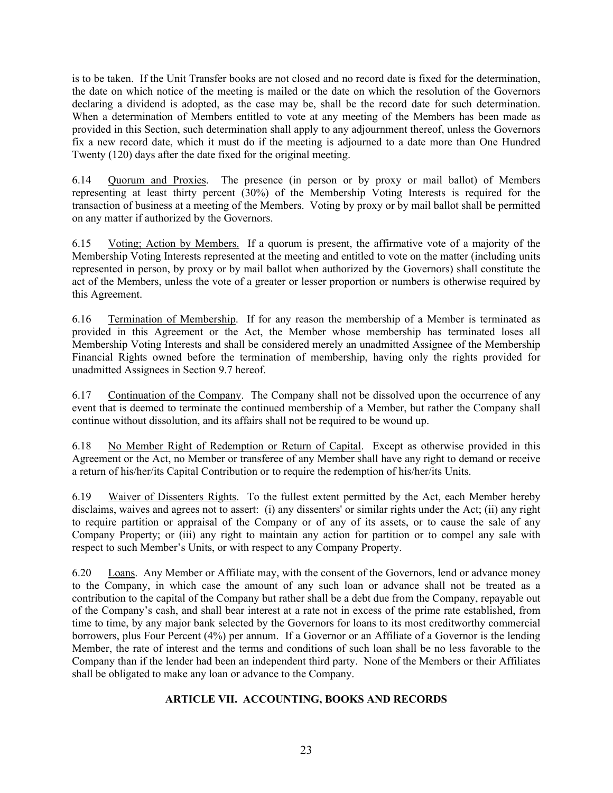is to be taken. If the Unit Transfer books are not closed and no record date is fixed for the determination, the date on which notice of the meeting is mailed or the date on which the resolution of the Governors declaring a dividend is adopted, as the case may be, shall be the record date for such determination. When a determination of Members entitled to vote at any meeting of the Members has been made as provided in this Section, such determination shall apply to any adjournment thereof, unless the Governors fix a new record date, which it must do if the meeting is adjourned to a date more than One Hundred Twenty (120) days after the date fixed for the original meeting.

<span id="page-26-0"></span>6.14 Quorum and Proxies. The presence (in person or by proxy or mail ballot) of Members representing at least thirty percent (30%) of the Membership Voting Interests is required for the transaction of business at a meeting of the Members. Voting by proxy or by mail ballot shall be permitted on any matter if authorized by the Governors.

<span id="page-26-1"></span>6.15 Voting; Action by Members. If a quorum is present, the affirmative vote of a majority of the Membership Voting Interests represented at the meeting and entitled to vote on the matter (including units represented in person, by proxy or by mail ballot when authorized by the Governors) shall constitute the act of the Members, unless the vote of a greater or lesser proportion or numbers is otherwise required by this Agreement.

<span id="page-26-2"></span>6.16 Termination of Membership. If for any reason the membership of a Member is terminated as provided in this Agreement or the Act, the Member whose membership has terminated loses all Membership Voting Interests and shall be considered merely an unadmitted Assignee of the Membership Financial Rights owned before the termination of membership, having only the rights provided for unadmitted Assignees in Section 9.7 hereof.

<span id="page-26-3"></span>6.17 Continuation of the Company. The Company shall not be dissolved upon the occurrence of any event that is deemed to terminate the continued membership of a Member, but rather the Company shall continue without dissolution, and its affairs shall not be required to be wound up.

<span id="page-26-4"></span>6.18 No Member Right of Redemption or Return of Capital. Except as otherwise provided in this Agreement or the Act, no Member or transferee of any Member shall have any right to demand or receive a return of his/her/its Capital Contribution or to require the redemption of his/her/its Units.

<span id="page-26-5"></span>6.19 Waiver of Dissenters Rights. To the fullest extent permitted by the Act, each Member hereby disclaims, waives and agrees not to assert: (i) any dissenters' or similar rights under the Act; (ii) any right to require partition or appraisal of the Company or of any of its assets, or to cause the sale of any Company Property; or (iii) any right to maintain any action for partition or to compel any sale with respect to such Member's Units, or with respect to any Company Property.

<span id="page-26-6"></span>6.20 Loans. Any Member or Affiliate may, with the consent of the Governors, lend or advance money to the Company, in which case the amount of any such loan or advance shall not be treated as a contribution to the capital of the Company but rather shall be a debt due from the Company, repayable out of the Company's cash, and shall bear interest at a rate not in excess of the prime rate established, from time to time, by any major bank selected by the Governors for loans to its most creditworthy commercial borrowers, plus Four Percent (4%) per annum. If a Governor or an Affiliate of a Governor is the lending Member, the rate of interest and the terms and conditions of such loan shall be no less favorable to the Company than if the lender had been an independent third party. None of the Members or their Affiliates shall be obligated to make any loan or advance to the Company.

## <span id="page-26-7"></span>**ARTICLE VII. ACCOUNTING, BOOKS AND RECORDS**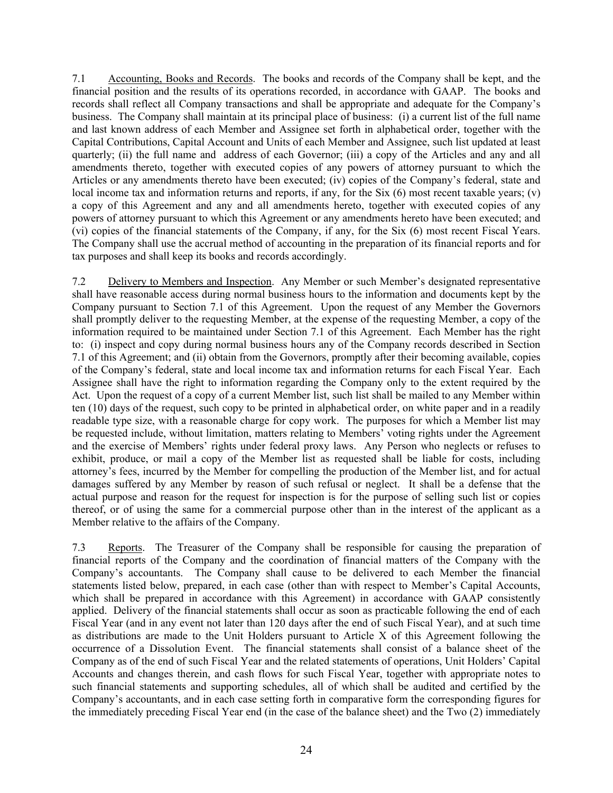<span id="page-27-0"></span>7.1 Accounting, Books and Records. The books and records of the Company shall be kept, and the financial position and the results of its operations recorded, in accordance with GAAP. The books and records shall reflect all Company transactions and shall be appropriate and adequate for the Company's business. The Company shall maintain at its principal place of business: (i) a current list of the full name and last known address of each Member and Assignee set forth in alphabetical order, together with the Capital Contributions, Capital Account and Units of each Member and Assignee, such list updated at least quarterly; (ii) the full name and address of each Governor; (iii) a copy of the Articles and any and all amendments thereto, together with executed copies of any powers of attorney pursuant to which the Articles or any amendments thereto have been executed; (iv) copies of the Company's federal, state and local income tax and information returns and reports, if any, for the Six (6) most recent taxable years; (v) a copy of this Agreement and any and all amendments hereto, together with executed copies of any powers of attorney pursuant to which this Agreement or any amendments hereto have been executed; and (vi) copies of the financial statements of the Company, if any, for the Six (6) most recent Fiscal Years. The Company shall use the accrual method of accounting in the preparation of its financial reports and for tax purposes and shall keep its books and records accordingly.

<span id="page-27-1"></span>7.2 Delivery to Members and Inspection. Any Member or such Member's designated representative shall have reasonable access during normal business hours to the information and documents kept by the Company pursuant to Section 7.1 of this Agreement. Upon the request of any Member the Governors shall promptly deliver to the requesting Member, at the expense of the requesting Member, a copy of the information required to be maintained under Section 7.1 of this Agreement. Each Member has the right to: (i) inspect and copy during normal business hours any of the Company records described in Section 7.1 of this Agreement; and (ii) obtain from the Governors, promptly after their becoming available, copies of the Company's federal, state and local income tax and information returns for each Fiscal Year. Each Assignee shall have the right to information regarding the Company only to the extent required by the Act. Upon the request of a copy of a current Member list, such list shall be mailed to any Member within ten (10) days of the request, such copy to be printed in alphabetical order, on white paper and in a readily readable type size, with a reasonable charge for copy work. The purposes for which a Member list may be requested include, without limitation, matters relating to Members' voting rights under the Agreement and the exercise of Members' rights under federal proxy laws. Any Person who neglects or refuses to exhibit, produce, or mail a copy of the Member list as requested shall be liable for costs, including attorney's fees, incurred by the Member for compelling the production of the Member list, and for actual damages suffered by any Member by reason of such refusal or neglect. It shall be a defense that the actual purpose and reason for the request for inspection is for the purpose of selling such list or copies thereof, or of using the same for a commercial purpose other than in the interest of the applicant as a Member relative to the affairs of the Company.

<span id="page-27-2"></span>7.3 Reports. The Treasurer of the Company shall be responsible for causing the preparation of financial reports of the Company and the coordination of financial matters of the Company with the Company's accountants. The Company shall cause to be delivered to each Member the financial statements listed below, prepared, in each case (other than with respect to Member's Capital Accounts, which shall be prepared in accordance with this Agreement) in accordance with GAAP consistently applied. Delivery of the financial statements shall occur as soon as practicable following the end of each Fiscal Year (and in any event not later than 120 days after the end of such Fiscal Year), and at such time as distributions are made to the Unit Holders pursuant to Article X of this Agreement following the occurrence of a Dissolution Event. The financial statements shall consist of a balance sheet of the Company as of the end of such Fiscal Year and the related statements of operations, Unit Holders' Capital Accounts and changes therein, and cash flows for such Fiscal Year, together with appropriate notes to such financial statements and supporting schedules, all of which shall be audited and certified by the Company's accountants, and in each case setting forth in comparative form the corresponding figures for the immediately preceding Fiscal Year end (in the case of the balance sheet) and the Two (2) immediately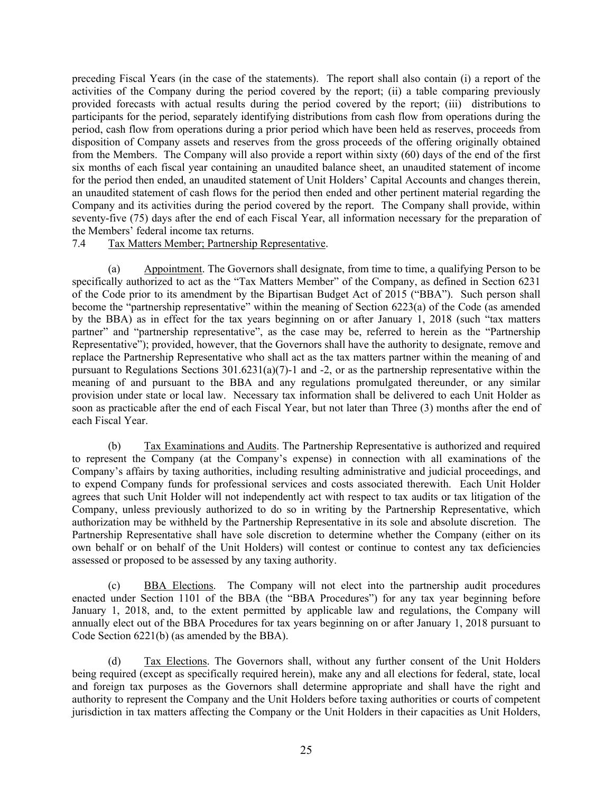preceding Fiscal Years (in the case of the statements). The report shall also contain (i) a report of the activities of the Company during the period covered by the report; (ii) a table comparing previously provided forecasts with actual results during the period covered by the report; (iii) distributions to participants for the period, separately identifying distributions from cash flow from operations during the period, cash flow from operations during a prior period which have been held as reserves, proceeds from disposition of Company assets and reserves from the gross proceeds of the offering originally obtained from the Members. The Company will also provide a report within sixty (60) days of the end of the first six months of each fiscal year containing an unaudited balance sheet, an unaudited statement of income for the period then ended, an unaudited statement of Unit Holders' Capital Accounts and changes therein, an unaudited statement of cash flows for the period then ended and other pertinent material regarding the Company and its activities during the period covered by the report. The Company shall provide, within seventy-five (75) days after the end of each Fiscal Year, all information necessary for the preparation of the Members' federal income tax returns.

#### <span id="page-28-0"></span>7.4 Tax Matters Member; Partnership Representative.

(a) Appointment. The Governors shall designate, from time to time, a qualifying Person to be specifically authorized to act as the "Tax Matters Member" of the Company, as defined in Section 6231 of the Code prior to its amendment by the Bipartisan Budget Act of 2015 ("BBA"). Such person shall become the "partnership representative" within the meaning of Section 6223(a) of the Code (as amended by the BBA) as in effect for the tax years beginning on or after January 1, 2018 (such "tax matters partner" and "partnership representative", as the case may be, referred to herein as the "Partnership Representative"); provided, however, that the Governors shall have the authority to designate, remove and replace the Partnership Representative who shall act as the tax matters partner within the meaning of and pursuant to Regulations Sections  $301.6231(a)(7)-1$  and  $-2$ , or as the partnership representative within the meaning of and pursuant to the BBA and any regulations promulgated thereunder, or any similar provision under state or local law. Necessary tax information shall be delivered to each Unit Holder as soon as practicable after the end of each Fiscal Year, but not later than Three (3) months after the end of each Fiscal Year.

(b) Tax Examinations and Audits. The Partnership Representative is authorized and required to represent the Company (at the Company's expense) in connection with all examinations of the Company's affairs by taxing authorities, including resulting administrative and judicial proceedings, and to expend Company funds for professional services and costs associated therewith. Each Unit Holder agrees that such Unit Holder will not independently act with respect to tax audits or tax litigation of the Company, unless previously authorized to do so in writing by the Partnership Representative, which authorization may be withheld by the Partnership Representative in its sole and absolute discretion. The Partnership Representative shall have sole discretion to determine whether the Company (either on its own behalf or on behalf of the Unit Holders) will contest or continue to contest any tax deficiencies assessed or proposed to be assessed by any taxing authority.

(c) BBA Elections. The Company will not elect into the partnership audit procedures enacted under Section 1101 of the BBA (the "BBA Procedures") for any tax year beginning before January 1, 2018, and, to the extent permitted by applicable law and regulations, the Company will annually elect out of the BBA Procedures for tax years beginning on or after January 1, 2018 pursuant to Code Section 6221(b) (as amended by the BBA).

(d) Tax Elections. The Governors shall, without any further consent of the Unit Holders being required (except as specifically required herein), make any and all elections for federal, state, local and foreign tax purposes as the Governors shall determine appropriate and shall have the right and authority to represent the Company and the Unit Holders before taxing authorities or courts of competent jurisdiction in tax matters affecting the Company or the Unit Holders in their capacities as Unit Holders,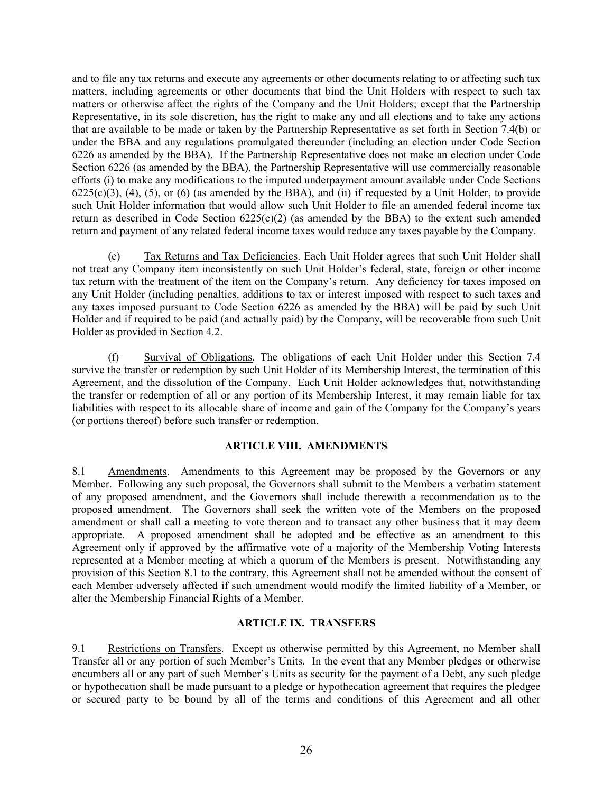and to file any tax returns and execute any agreements or other documents relating to or affecting such tax matters, including agreements or other documents that bind the Unit Holders with respect to such tax matters or otherwise affect the rights of the Company and the Unit Holders; except that the Partnership Representative, in its sole discretion, has the right to make any and all elections and to take any actions that are available to be made or taken by the Partnership Representative as set forth in Section 7.4(b) or under the BBA and any regulations promulgated thereunder (including an election under Code Section 6226 as amended by the BBA). If the Partnership Representative does not make an election under Code Section 6226 (as amended by the BBA), the Partnership Representative will use commercially reasonable efforts (i) to make any modifications to the imputed underpayment amount available under Code Sections  $6225(c)(3)$ ,  $(4)$ ,  $(5)$ , or  $(6)$  (as amended by the BBA), and  $(ii)$  if requested by a Unit Holder, to provide such Unit Holder information that would allow such Unit Holder to file an amended federal income tax return as described in Code Section  $6225(c)(2)$  (as amended by the BBA) to the extent such amended return and payment of any related federal income taxes would reduce any taxes payable by the Company.

(e) Tax Returns and Tax Deficiencies. Each Unit Holder agrees that such Unit Holder shall not treat any Company item inconsistently on such Unit Holder's federal, state, foreign or other income tax return with the treatment of the item on the Company's return. Any deficiency for taxes imposed on any Unit Holder (including penalties, additions to tax or interest imposed with respect to such taxes and any taxes imposed pursuant to Code Section 6226 as amended by the BBA) will be paid by such Unit Holder and if required to be paid (and actually paid) by the Company, will be recoverable from such Unit Holder as provided in Section 4.2.

(f) Survival of Obligations. The obligations of each Unit Holder under this Section 7.4 survive the transfer or redemption by such Unit Holder of its Membership Interest, the termination of this Agreement, and the dissolution of the Company. Each Unit Holder acknowledges that, notwithstanding the transfer or redemption of all or any portion of its Membership Interest, it may remain liable for tax liabilities with respect to its allocable share of income and gain of the Company for the Company's years (or portions thereof) before such transfer or redemption.

## <span id="page-29-1"></span><span id="page-29-0"></span>**ARTICLE VIII. AMENDMENTS**

8.1 Amendments. Amendments to this Agreement may be proposed by the Governors or any Member. Following any such proposal, the Governors shall submit to the Members a verbatim statement of any proposed amendment, and the Governors shall include therewith a recommendation as to the proposed amendment. The Governors shall seek the written vote of the Members on the proposed amendment or shall call a meeting to vote thereon and to transact any other business that it may deem appropriate. A proposed amendment shall be adopted and be effective as an amendment to this Agreement only if approved by the affirmative vote of a majority of the Membership Voting Interests represented at a Member meeting at which a quorum of the Members is present. Notwithstanding any provision of this Section 8.1 to the contrary, this Agreement shall not be amended without the consent of each Member adversely affected if such amendment would modify the limited liability of a Member, or alter the Membership Financial Rights of a Member.

# <span id="page-29-3"></span><span id="page-29-2"></span>**ARTICLE IX. TRANSFERS**

9.1 Restrictions on Transfers. Except as otherwise permitted by this Agreement, no Member shall Transfer all or any portion of such Member's Units. In the event that any Member pledges or otherwise encumbers all or any part of such Member's Units as security for the payment of a Debt, any such pledge or hypothecation shall be made pursuant to a pledge or hypothecation agreement that requires the pledgee or secured party to be bound by all of the terms and conditions of this Agreement and all other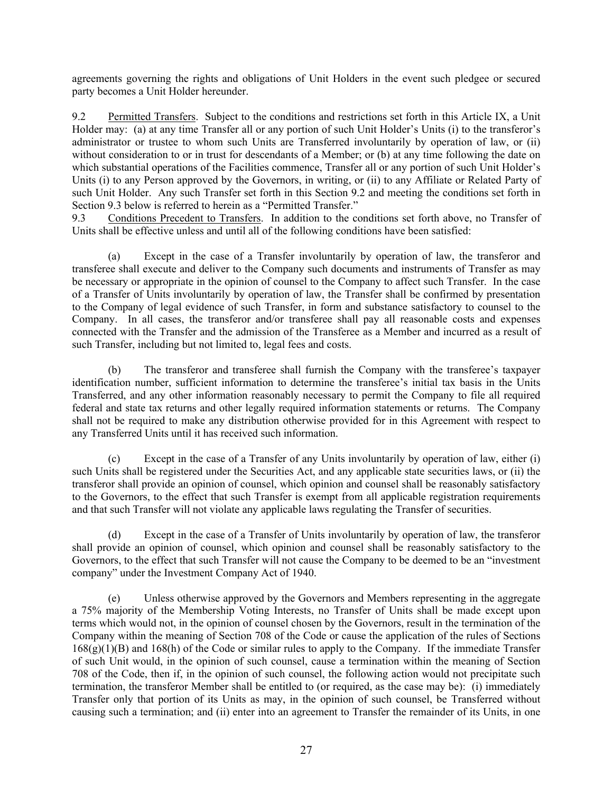agreements governing the rights and obligations of Unit Holders in the event such pledgee or secured party becomes a Unit Holder hereunder.

<span id="page-30-0"></span>9.2 Permitted Transfers. Subject to the conditions and restrictions set forth in this Article IX, a Unit Holder may: (a) at any time Transfer all or any portion of such Unit Holder's Units (i) to the transferor's administrator or trustee to whom such Units are Transferred involuntarily by operation of law, or (ii) without consideration to or in trust for descendants of a Member; or (b) at any time following the date on which substantial operations of the Facilities commence, Transfer all or any portion of such Unit Holder's Units (i) to any Person approved by the Governors, in writing, or (ii) to any Affiliate or Related Party of such Unit Holder. Any such Transfer set forth in this Section 9.2 and meeting the conditions set forth in Section 9.3 below is referred to herein as a "Permitted Transfer."

<span id="page-30-1"></span>9.3 Conditions Precedent to Transfers. In addition to the conditions set forth above, no Transfer of Units shall be effective unless and until all of the following conditions have been satisfied:

(a) Except in the case of a Transfer involuntarily by operation of law, the transferor and transferee shall execute and deliver to the Company such documents and instruments of Transfer as may be necessary or appropriate in the opinion of counsel to the Company to affect such Transfer. In the case of a Transfer of Units involuntarily by operation of law, the Transfer shall be confirmed by presentation to the Company of legal evidence of such Transfer, in form and substance satisfactory to counsel to the Company. In all cases, the transferor and/or transferee shall pay all reasonable costs and expenses connected with the Transfer and the admission of the Transferee as a Member and incurred as a result of such Transfer, including but not limited to, legal fees and costs.

(b) The transferor and transferee shall furnish the Company with the transferee's taxpayer identification number, sufficient information to determine the transferee's initial tax basis in the Units Transferred, and any other information reasonably necessary to permit the Company to file all required federal and state tax returns and other legally required information statements or returns. The Company shall not be required to make any distribution otherwise provided for in this Agreement with respect to any Transferred Units until it has received such information.

(c) Except in the case of a Transfer of any Units involuntarily by operation of law, either (i) such Units shall be registered under the Securities Act, and any applicable state securities laws, or (ii) the transferor shall provide an opinion of counsel, which opinion and counsel shall be reasonably satisfactory to the Governors, to the effect that such Transfer is exempt from all applicable registration requirements and that such Transfer will not violate any applicable laws regulating the Transfer of securities.

(d) Except in the case of a Transfer of Units involuntarily by operation of law, the transferor shall provide an opinion of counsel, which opinion and counsel shall be reasonably satisfactory to the Governors, to the effect that such Transfer will not cause the Company to be deemed to be an "investment company" under the Investment Company Act of 1940.

(e) Unless otherwise approved by the Governors and Members representing in the aggregate a 75% majority of the Membership Voting Interests, no Transfer of Units shall be made except upon terms which would not, in the opinion of counsel chosen by the Governors, result in the termination of the Company within the meaning of Section 708 of the Code or cause the application of the rules of Sections 168(g)(1)(B) and 168(h) of the Code or similar rules to apply to the Company. If the immediate Transfer of such Unit would, in the opinion of such counsel, cause a termination within the meaning of Section 708 of the Code, then if, in the opinion of such counsel, the following action would not precipitate such termination, the transferor Member shall be entitled to (or required, as the case may be): (i) immediately Transfer only that portion of its Units as may, in the opinion of such counsel, be Transferred without causing such a termination; and (ii) enter into an agreement to Transfer the remainder of its Units, in one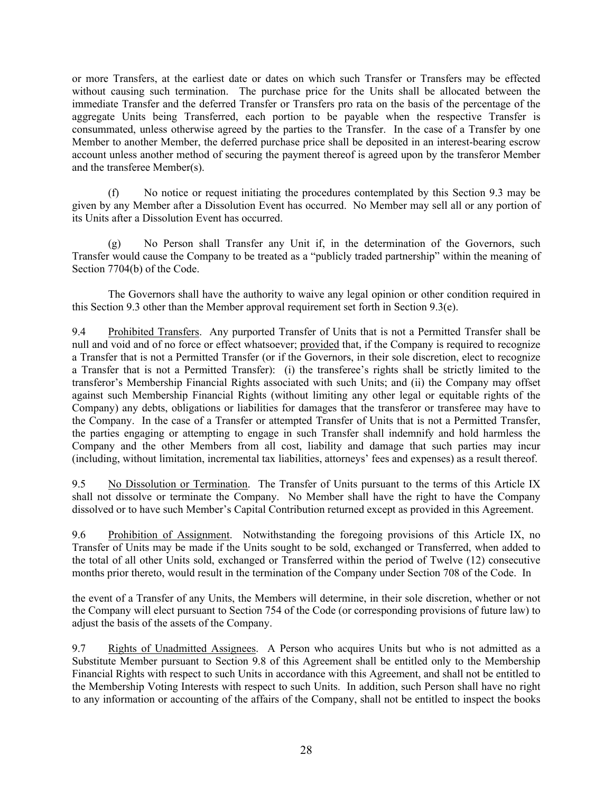or more Transfers, at the earliest date or dates on which such Transfer or Transfers may be effected without causing such termination. The purchase price for the Units shall be allocated between the immediate Transfer and the deferred Transfer or Transfers pro rata on the basis of the percentage of the aggregate Units being Transferred, each portion to be payable when the respective Transfer is consummated, unless otherwise agreed by the parties to the Transfer. In the case of a Transfer by one Member to another Member, the deferred purchase price shall be deposited in an interest-bearing escrow account unless another method of securing the payment thereof is agreed upon by the transferor Member and the transferee Member(s).

(f) No notice or request initiating the procedures contemplated by this Section 9.3 may be given by any Member after a Dissolution Event has occurred. No Member may sell all or any portion of its Units after a Dissolution Event has occurred.

(g) No Person shall Transfer any Unit if, in the determination of the Governors, such Transfer would cause the Company to be treated as a "publicly traded partnership" within the meaning of Section 7704(b) of the Code.

The Governors shall have the authority to waive any legal opinion or other condition required in this Section 9.3 other than the Member approval requirement set forth in Section 9.3(e).

<span id="page-31-0"></span>9.4 Prohibited Transfers. Any purported Transfer of Units that is not a Permitted Transfer shall be null and void and of no force or effect whatsoever; provided that, if the Company is required to recognize a Transfer that is not a Permitted Transfer (or if the Governors, in their sole discretion, elect to recognize a Transfer that is not a Permitted Transfer): (i) the transferee's rights shall be strictly limited to the transferor's Membership Financial Rights associated with such Units; and (ii) the Company may offset against such Membership Financial Rights (without limiting any other legal or equitable rights of the Company) any debts, obligations or liabilities for damages that the transferor or transferee may have to the Company. In the case of a Transfer or attempted Transfer of Units that is not a Permitted Transfer, the parties engaging or attempting to engage in such Transfer shall indemnify and hold harmless the Company and the other Members from all cost, liability and damage that such parties may incur (including, without limitation, incremental tax liabilities, attorneys' fees and expenses) as a result thereof.

<span id="page-31-1"></span>9.5 No Dissolution or Termination. The Transfer of Units pursuant to the terms of this Article IX shall not dissolve or terminate the Company. No Member shall have the right to have the Company dissolved or to have such Member's Capital Contribution returned except as provided in this Agreement.

<span id="page-31-2"></span>9.6 Prohibition of Assignment. Notwithstanding the foregoing provisions of this Article IX, no Transfer of Units may be made if the Units sought to be sold, exchanged or Transferred, when added to the total of all other Units sold, exchanged or Transferred within the period of Twelve (12) consecutive months prior thereto, would result in the termination of the Company under Section 708 of the Code. In

the event of a Transfer of any Units, the Members will determine, in their sole discretion, whether or not the Company will elect pursuant to Section 754 of the Code (or corresponding provisions of future law) to adjust the basis of the assets of the Company.

<span id="page-31-3"></span>9.7 Rights of Unadmitted Assignees. A Person who acquires Units but who is not admitted as a Substitute Member pursuant to Section 9.8 of this Agreement shall be entitled only to the Membership Financial Rights with respect to such Units in accordance with this Agreement, and shall not be entitled to the Membership Voting Interests with respect to such Units. In addition, such Person shall have no right to any information or accounting of the affairs of the Company, shall not be entitled to inspect the books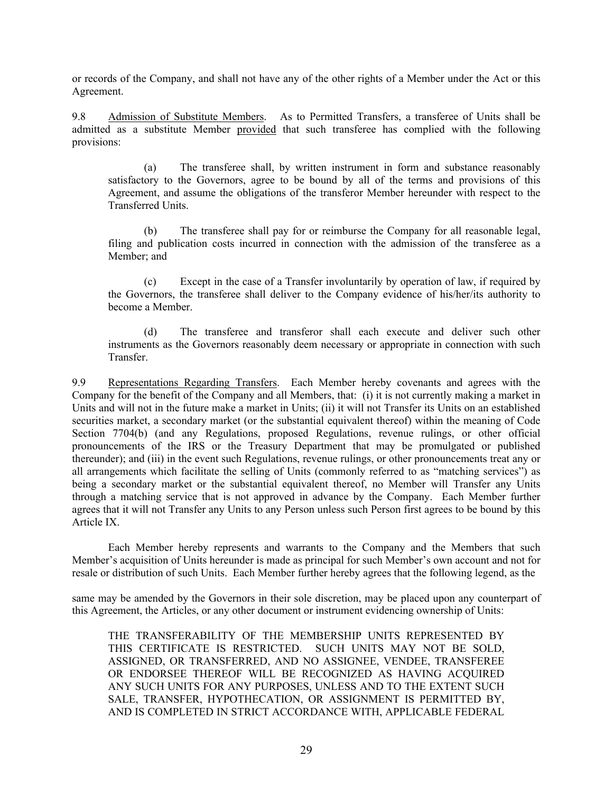or records of the Company, and shall not have any of the other rights of a Member under the Act or this Agreement.

9.8 Admission of Substitute Members. As to Permitted Transfers, a transferee of Units shall be admitted as a substitute Member provided that such transferee has complied with the following provisions:

<span id="page-32-0"></span>(a) The transferee shall, by written instrument in form and substance reasonably satisfactory to the Governors, agree to be bound by all of the terms and provisions of this Agreement, and assume the obligations of the transferor Member hereunder with respect to the Transferred Units.

(b) The transferee shall pay for or reimburse the Company for all reasonable legal, filing and publication costs incurred in connection with the admission of the transferee as a Member; and

(c) Except in the case of a Transfer involuntarily by operation of law, if required by the Governors, the transferee shall deliver to the Company evidence of his/her/its authority to become a Member.

<span id="page-32-1"></span>(d) The transferee and transferor shall each execute and deliver such other instruments as the Governors reasonably deem necessary or appropriate in connection with such Transfer.

9.9 Representations Regarding Transfers. Each Member hereby covenants and agrees with the Company for the benefit of the Company and all Members, that: (i) it is not currently making a market in Units and will not in the future make a market in Units; (ii) it will not Transfer its Units on an established securities market, a secondary market (or the substantial equivalent thereof) within the meaning of Code Section 7704(b) (and any Regulations, proposed Regulations, revenue rulings, or other official pronouncements of the IRS or the Treasury Department that may be promulgated or published thereunder); and (iii) in the event such Regulations, revenue rulings, or other pronouncements treat any or all arrangements which facilitate the selling of Units (commonly referred to as "matching services") as being a secondary market or the substantial equivalent thereof, no Member will Transfer any Units through a matching service that is not approved in advance by the Company. Each Member further agrees that it will not Transfer any Units to any Person unless such Person first agrees to be bound by this Article IX.

Each Member hereby represents and warrants to the Company and the Members that such Member's acquisition of Units hereunder is made as principal for such Member's own account and not for resale or distribution of such Units. Each Member further hereby agrees that the following legend, as the

same may be amended by the Governors in their sole discretion, may be placed upon any counterpart of this Agreement, the Articles, or any other document or instrument evidencing ownership of Units:

THE TRANSFERABILITY OF THE MEMBERSHIP UNITS REPRESENTED BY THIS CERTIFICATE IS RESTRICTED. SUCH UNITS MAY NOT BE SOLD, ASSIGNED, OR TRANSFERRED, AND NO ASSIGNEE, VENDEE, TRANSFEREE OR ENDORSEE THEREOF WILL BE RECOGNIZED AS HAVING ACQUIRED ANY SUCH UNITS FOR ANY PURPOSES, UNLESS AND TO THE EXTENT SUCH SALE, TRANSFER, HYPOTHECATION, OR ASSIGNMENT IS PERMITTED BY, AND IS COMPLETED IN STRICT ACCORDANCE WITH, APPLICABLE FEDERAL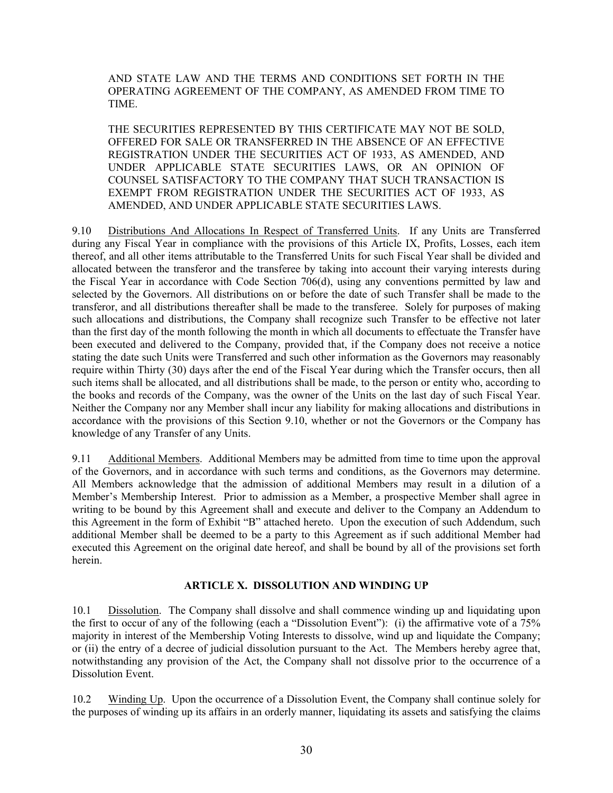AND STATE LAW AND THE TERMS AND CONDITIONS SET FORTH IN THE OPERATING AGREEMENT OF THE COMPANY, AS AMENDED FROM TIME TO TIME.

<span id="page-33-0"></span>THE SECURITIES REPRESENTED BY THIS CERTIFICATE MAY NOT BE SOLD, OFFERED FOR SALE OR TRANSFERRED IN THE ABSENCE OF AN EFFECTIVE REGISTRATION UNDER THE SECURITIES ACT OF 1933, AS AMENDED, AND UNDER APPLICABLE STATE SECURITIES LAWS, OR AN OPINION OF COUNSEL SATISFACTORY TO THE COMPANY THAT SUCH TRANSACTION IS EXEMPT FROM REGISTRATION UNDER THE SECURITIES ACT OF 1933, AS AMENDED, AND UNDER APPLICABLE STATE SECURITIES LAWS.

9.10 Distributions And Allocations In Respect of Transferred Units. If any Units are Transferred during any Fiscal Year in compliance with the provisions of this Article IX, Profits, Losses, each item thereof, and all other items attributable to the Transferred Units for such Fiscal Year shall be divided and allocated between the transferor and the transferee by taking into account their varying interests during the Fiscal Year in accordance with Code Section 706(d), using any conventions permitted by law and selected by the Governors. All distributions on or before the date of such Transfer shall be made to the transferor, and all distributions thereafter shall be made to the transferee. Solely for purposes of making such allocations and distributions, the Company shall recognize such Transfer to be effective not later than the first day of the month following the month in which all documents to effectuate the Transfer have been executed and delivered to the Company, provided that, if the Company does not receive a notice stating the date such Units were Transferred and such other information as the Governors may reasonably require within Thirty (30) days after the end of the Fiscal Year during which the Transfer occurs, then all such items shall be allocated, and all distributions shall be made, to the person or entity who, according to the books and records of the Company, was the owner of the Units on the last day of such Fiscal Year. Neither the Company nor any Member shall incur any liability for making allocations and distributions in accordance with the provisions of this Section 9.10, whether or not the Governors or the Company has knowledge of any Transfer of any Units.

9.11 Additional Members. Additional Members may be admitted from time to time upon the approval of the Governors, and in accordance with such terms and conditions, as the Governors may determine. All Members acknowledge that the admission of additional Members may result in a dilution of a Member's Membership Interest. Prior to admission as a Member, a prospective Member shall agree in writing to be bound by this Agreement shall and execute and deliver to the Company an Addendum to this Agreement in the form of Exhibit "B" attached hereto. Upon the execution of such Addendum, such additional Member shall be deemed to be a party to this Agreement as if such additional Member had executed this Agreement on the original date hereof, and shall be bound by all of the provisions set forth herein.

### <span id="page-33-3"></span><span id="page-33-2"></span><span id="page-33-1"></span>**ARTICLE X. DISSOLUTION AND WINDING UP**

10.1 Dissolution. The Company shall dissolve and shall commence winding up and liquidating upon the first to occur of any of the following (each a "Dissolution Event"): (i) the affirmative vote of a 75% majority in interest of the Membership Voting Interests to dissolve, wind up and liquidate the Company; or (ii) the entry of a decree of judicial dissolution pursuant to the Act. The Members hereby agree that, notwithstanding any provision of the Act, the Company shall not dissolve prior to the occurrence of a Dissolution Event.

<span id="page-33-4"></span>10.2 Winding Up. Upon the occurrence of a Dissolution Event, the Company shall continue solely for the purposes of winding up its affairs in an orderly manner, liquidating its assets and satisfying the claims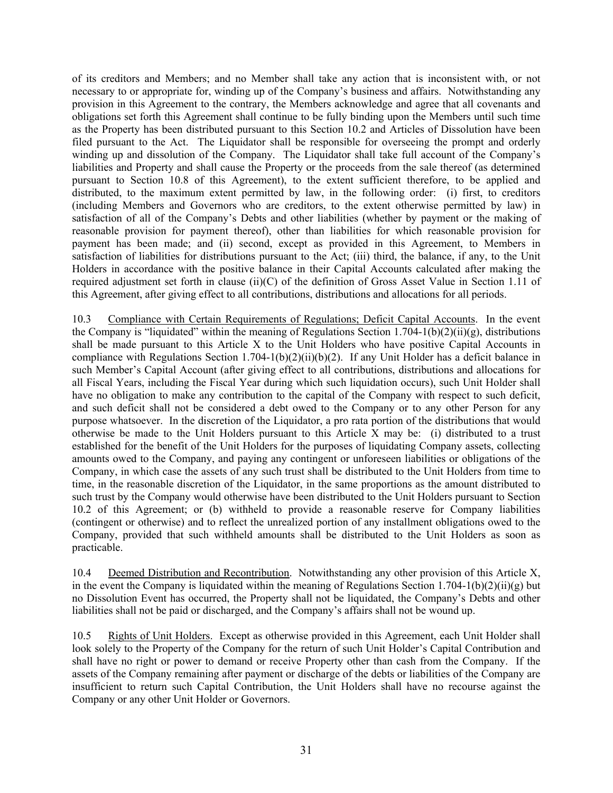of its creditors and Members; and no Member shall take any action that is inconsistent with, or not necessary to or appropriate for, winding up of the Company's business and affairs. Notwithstanding any provision in this Agreement to the contrary, the Members acknowledge and agree that all covenants and obligations set forth this Agreement shall continue to be fully binding upon the Members until such time as the Property has been distributed pursuant to this Section 10.2 and Articles of Dissolution have been filed pursuant to the Act. The Liquidator shall be responsible for overseeing the prompt and orderly winding up and dissolution of the Company. The Liquidator shall take full account of the Company's liabilities and Property and shall cause the Property or the proceeds from the sale thereof (as determined pursuant to Section 10.8 of this Agreement), to the extent sufficient therefore, to be applied and distributed, to the maximum extent permitted by law, in the following order: (i) first, to creditors (including Members and Governors who are creditors, to the extent otherwise permitted by law) in satisfaction of all of the Company's Debts and other liabilities (whether by payment or the making of reasonable provision for payment thereof), other than liabilities for which reasonable provision for payment has been made; and (ii) second, except as provided in this Agreement, to Members in satisfaction of liabilities for distributions pursuant to the Act; (iii) third, the balance, if any, to the Unit Holders in accordance with the positive balance in their Capital Accounts calculated after making the required adjustment set forth in clause (ii)(C) of the definition of Gross Asset Value in Section 1.11 of this Agreement, after giving effect to all contributions, distributions and allocations for all periods.

<span id="page-34-0"></span>10.3 Compliance with Certain Requirements of Regulations; Deficit Capital Accounts. In the event the Company is "liquidated" within the meaning of Regulations Section 1.704-1(b)(2)(ii)(g), distributions shall be made pursuant to this Article X to the Unit Holders who have positive Capital Accounts in compliance with Regulations Section 1.704-1(b)(2)(ii)(b)(2). If any Unit Holder has a deficit balance in such Member's Capital Account (after giving effect to all contributions, distributions and allocations for all Fiscal Years, including the Fiscal Year during which such liquidation occurs), such Unit Holder shall have no obligation to make any contribution to the capital of the Company with respect to such deficit, and such deficit shall not be considered a debt owed to the Company or to any other Person for any purpose whatsoever. In the discretion of the Liquidator, a pro rata portion of the distributions that would otherwise be made to the Unit Holders pursuant to this Article X may be: (i) distributed to a trust established for the benefit of the Unit Holders for the purposes of liquidating Company assets, collecting amounts owed to the Company, and paying any contingent or unforeseen liabilities or obligations of the Company, in which case the assets of any such trust shall be distributed to the Unit Holders from time to time, in the reasonable discretion of the Liquidator, in the same proportions as the amount distributed to such trust by the Company would otherwise have been distributed to the Unit Holders pursuant to Section 10.2 of this Agreement; or (b) withheld to provide a reasonable reserve for Company liabilities (contingent or otherwise) and to reflect the unrealized portion of any installment obligations owed to the Company, provided that such withheld amounts shall be distributed to the Unit Holders as soon as practicable.

<span id="page-34-1"></span>10.4 Deemed Distribution and Recontribution. Notwithstanding any other provision of this Article X, in the event the Company is liquidated within the meaning of Regulations Section 1.704-1(b)(2)(ii)(g) but no Dissolution Event has occurred, the Property shall not be liquidated, the Company's Debts and other liabilities shall not be paid or discharged, and the Company's affairs shall not be wound up.

<span id="page-34-2"></span>10.5 Rights of Unit Holders. Except as otherwise provided in this Agreement, each Unit Holder shall look solely to the Property of the Company for the return of such Unit Holder's Capital Contribution and shall have no right or power to demand or receive Property other than cash from the Company. If the assets of the Company remaining after payment or discharge of the debts or liabilities of the Company are insufficient to return such Capital Contribution, the Unit Holders shall have no recourse against the Company or any other Unit Holder or Governors.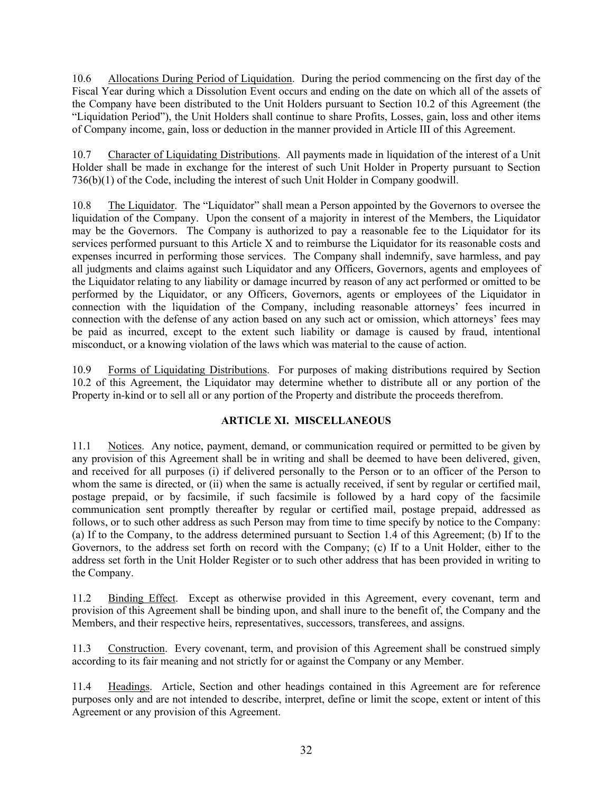<span id="page-35-0"></span>10.6 Allocations During Period of Liquidation. During the period commencing on the first day of the Fiscal Year during which a Dissolution Event occurs and ending on the date on which all of the assets of the Company have been distributed to the Unit Holders pursuant to Section 10.2 of this Agreement (the "Liquidation Period"), the Unit Holders shall continue to share Profits, Losses, gain, loss and other items of Company income, gain, loss or deduction in the manner provided in Article III of this Agreement.

<span id="page-35-1"></span>10.7 Character of Liquidating Distributions. All payments made in liquidation of the interest of a Unit Holder shall be made in exchange for the interest of such Unit Holder in Property pursuant to Section 736(b)(1) of the Code, including the interest of such Unit Holder in Company goodwill.

<span id="page-35-2"></span>10.8 The Liquidator. The "Liquidator" shall mean a Person appointed by the Governors to oversee the liquidation of the Company. Upon the consent of a majority in interest of the Members, the Liquidator may be the Governors. The Company is authorized to pay a reasonable fee to the Liquidator for its services performed pursuant to this Article X and to reimburse the Liquidator for its reasonable costs and expenses incurred in performing those services. The Company shall indemnify, save harmless, and pay all judgments and claims against such Liquidator and any Officers, Governors, agents and employees of the Liquidator relating to any liability or damage incurred by reason of any act performed or omitted to be performed by the Liquidator, or any Officers, Governors, agents or employees of the Liquidator in connection with the liquidation of the Company, including reasonable attorneys' fees incurred in connection with the defense of any action based on any such act or omission, which attorneys' fees may be paid as incurred, except to the extent such liability or damage is caused by fraud, intentional misconduct, or a knowing violation of the laws which was material to the cause of action.

10.9 Forms of Liquidating Distributions. For purposes of making distributions required by Section 10.2 of this Agreement, the Liquidator may determine whether to distribute all or any portion of the Property in-kind or to sell all or any portion of the Property and distribute the proceeds therefrom.

## <span id="page-35-4"></span><span id="page-35-3"></span>**ARTICLE XI. MISCELLANEOUS**

<span id="page-35-5"></span>11.1 Notices. Any notice, payment, demand, or communication required or permitted to be given by any provision of this Agreement shall be in writing and shall be deemed to have been delivered, given, and received for all purposes (i) if delivered personally to the Person or to an officer of the Person to whom the same is directed, or (ii) when the same is actually received, if sent by regular or certified mail, postage prepaid, or by facsimile, if such facsimile is followed by a hard copy of the facsimile communication sent promptly thereafter by regular or certified mail, postage prepaid, addressed as follows, or to such other address as such Person may from time to time specify by notice to the Company: (a) If to the Company, to the address determined pursuant to Section 1.4 of this Agreement; (b) If to the Governors, to the address set forth on record with the Company; (c) If to a Unit Holder, either to the address set forth in the Unit Holder Register or to such other address that has been provided in writing to the Company.

<span id="page-35-6"></span>11.2 Binding Effect. Except as otherwise provided in this Agreement, every covenant, term and provision of this Agreement shall be binding upon, and shall inure to the benefit of, the Company and the Members, and their respective heirs, representatives, successors, transferees, and assigns.

<span id="page-35-7"></span>11.3 Construction. Every covenant, term, and provision of this Agreement shall be construed simply according to its fair meaning and not strictly for or against the Company or any Member.

<span id="page-35-8"></span>11.4 Headings. Article, Section and other headings contained in this Agreement are for reference purposes only and are not intended to describe, interpret, define or limit the scope, extent or intent of this Agreement or any provision of this Agreement.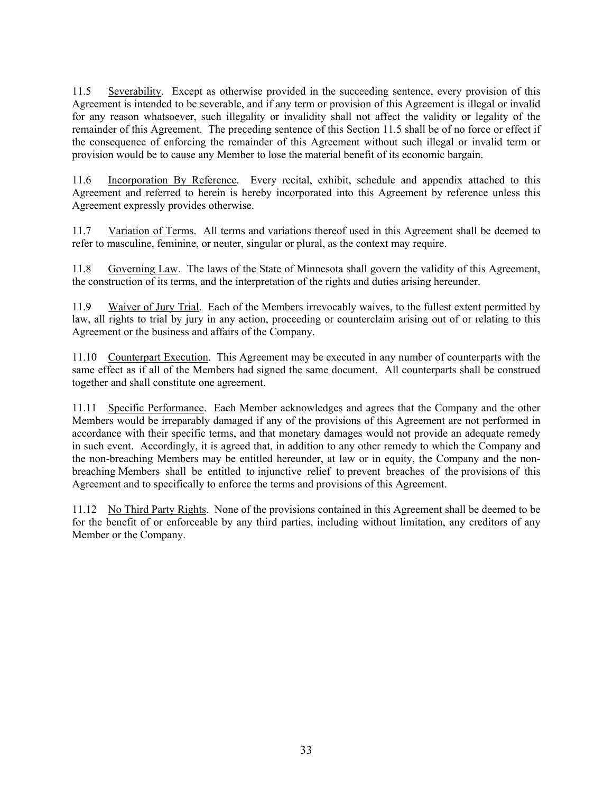<span id="page-36-0"></span>11.5 Severability. Except as otherwise provided in the succeeding sentence, every provision of this Agreement is intended to be severable, and if any term or provision of this Agreement is illegal or invalid for any reason whatsoever, such illegality or invalidity shall not affect the validity or legality of the remainder of this Agreement. The preceding sentence of this Section 11.5 shall be of no force or effect if the consequence of enforcing the remainder of this Agreement without such illegal or invalid term or provision would be to cause any Member to lose the material benefit of its economic bargain.

<span id="page-36-1"></span>11.6 Incorporation By Reference. Every recital, exhibit, schedule and appendix attached to this Agreement and referred to herein is hereby incorporated into this Agreement by reference unless this Agreement expressly provides otherwise.

<span id="page-36-2"></span>11.7 Variation of Terms. All terms and variations thereof used in this Agreement shall be deemed to refer to masculine, feminine, or neuter, singular or plural, as the context may require.

<span id="page-36-3"></span>11.8 Governing Law. The laws of the State of Minnesota shall govern the validity of this Agreement, the construction of its terms, and the interpretation of the rights and duties arising hereunder.

<span id="page-36-4"></span>11.9 Waiver of Jury Trial. Each of the Members irrevocably waives, to the fullest extent permitted by law, all rights to trial by jury in any action, proceeding or counterclaim arising out of or relating to this Agreement or the business and affairs of the Company.

<span id="page-36-5"></span>11.10 Counterpart Execution. This Agreement may be executed in any number of counterparts with the same effect as if all of the Members had signed the same document. All counterparts shall be construed together and shall constitute one agreement.

<span id="page-36-6"></span>11.11 Specific Performance. Each Member acknowledges and agrees that the Company and the other Members would be irreparably damaged if any of the provisions of this Agreement are not performed in accordance with their specific terms, and that monetary damages would not provide an adequate remedy in such event. Accordingly, it is agreed that, in addition to any other remedy to which the Company and the non-breaching Members may be entitled hereunder, at law or in equity, the Company and the nonbreaching Members shall be entitled to injunctive relief to prevent breaches of the provisions of this Agreement and to specifically to enforce the terms and provisions of this Agreement.

<span id="page-36-7"></span>11.12 No Third Party Rights. None of the provisions contained in this Agreement shall be deemed to be for the benefit of or enforceable by any third parties, including without limitation, any creditors of any Member or the Company.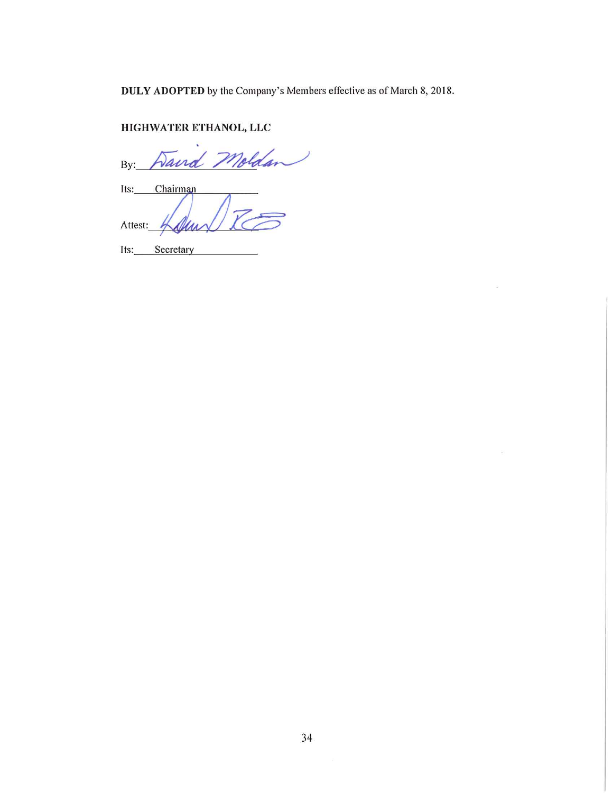DULY ADOPTED by the Company's Members effective as of March 8, 2018.

 $\widetilde{\mathcal{L}}$ 

 $\frac{15}{2}$ 

# HIGHWATER ETHANOL, LLC

ls. Vairo  $By:$ Its: Chairman Attest: (A.

Its: Secretary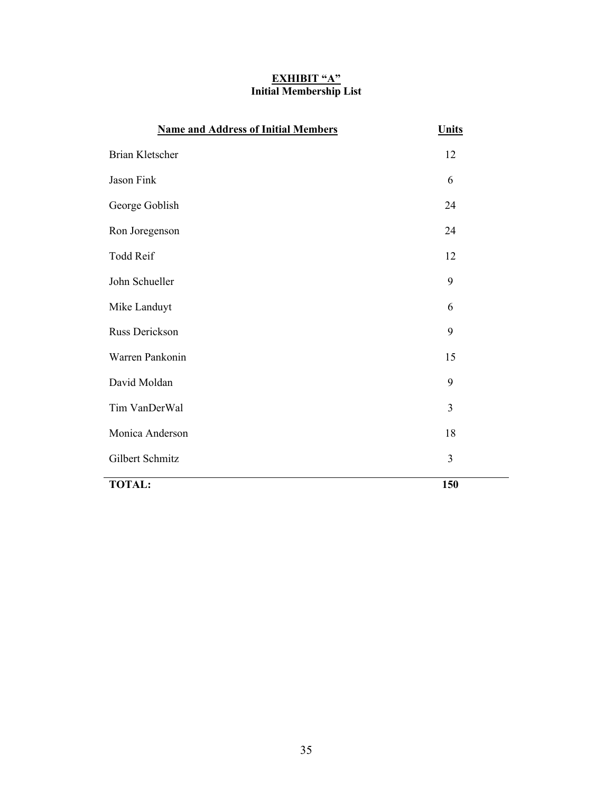### **EXHIBIT "A" Initial Membership List**

| <b>Name and Address of Initial Members</b> | <b>Units</b>   |
|--------------------------------------------|----------------|
| <b>Brian Kletscher</b>                     | 12             |
| Jason Fink                                 | 6              |
| George Goblish                             | 24             |
| Ron Joregenson                             | 24             |
| Todd Reif                                  | 12             |
| John Schueller                             | 9              |
| Mike Landuyt                               | 6              |
| Russ Derickson                             | 9              |
| Warren Pankonin                            | 15             |
| David Moldan                               | 9              |
| Tim VanDerWal                              | $\overline{3}$ |
| Monica Anderson                            | 18             |
| Gilbert Schmitz                            | 3              |
| <b>TOTAL:</b>                              | 150            |